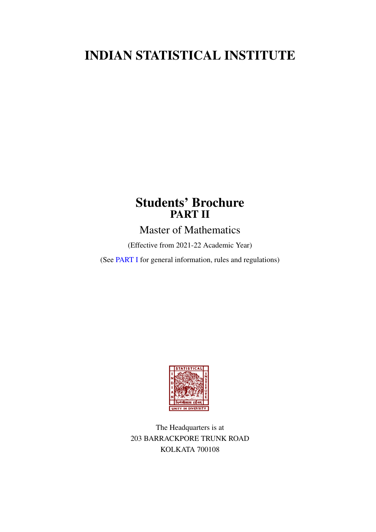# INDIAN STATISTICAL INSTITUTE

# Students' Brochure PART II

Master of Mathematics

(Effective from 2021-22 Academic Year)

(See [PART I](https://www.isical.ac.in/~deanweb/GNRLRULES-REGULATIONS-2019.pdf) for general information, rules and regulations)



The Headquarters is at 203 BARRACKPORE TRUNK ROAD KOLKATA 700108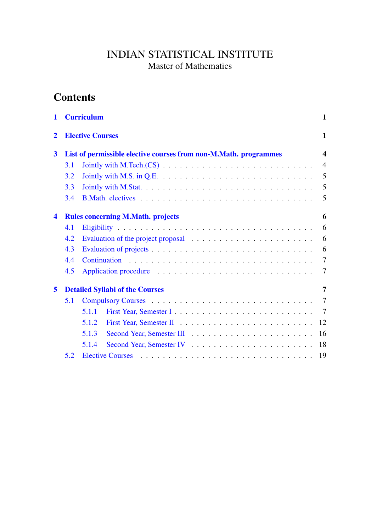# INDIAN STATISTICAL INSTITUTE Master of Mathematics

# **Contents**

| 1                       |     | <b>Curriculum</b>                                                | 1                    |  |  |  |
|-------------------------|-----|------------------------------------------------------------------|----------------------|--|--|--|
| $\overline{2}$          |     | <b>Elective Courses</b>                                          |                      |  |  |  |
| $\overline{\mathbf{3}}$ |     | List of permissible elective courses from non-M.Math. programmes | $\blacktriangleleft$ |  |  |  |
|                         | 3.1 |                                                                  | $\overline{4}$       |  |  |  |
|                         | 3.2 |                                                                  | 5                    |  |  |  |
|                         | 3.3 |                                                                  | 5                    |  |  |  |
|                         | 3.4 |                                                                  | 5                    |  |  |  |
| $\overline{\mathbf{4}}$ |     | <b>Rules concerning M.Math. projects</b>                         | 6                    |  |  |  |
|                         | 4.1 |                                                                  | 6                    |  |  |  |
|                         | 4.2 |                                                                  | 6                    |  |  |  |
|                         | 4.3 |                                                                  | 6                    |  |  |  |
|                         | 4.4 |                                                                  | $\tau$               |  |  |  |
|                         | 4.5 |                                                                  | $\tau$               |  |  |  |
| 5                       |     | <b>Detailed Syllabi of the Courses</b>                           | 7                    |  |  |  |
|                         | 5.1 |                                                                  | 7                    |  |  |  |
|                         |     | 5.1.1                                                            | 7                    |  |  |  |
|                         |     | 5.1.2<br>12                                                      |                      |  |  |  |
|                         |     | 5.1.3<br>16                                                      |                      |  |  |  |
|                         |     | 5.1.4<br>18                                                      |                      |  |  |  |
|                         | 5.2 | 19                                                               |                      |  |  |  |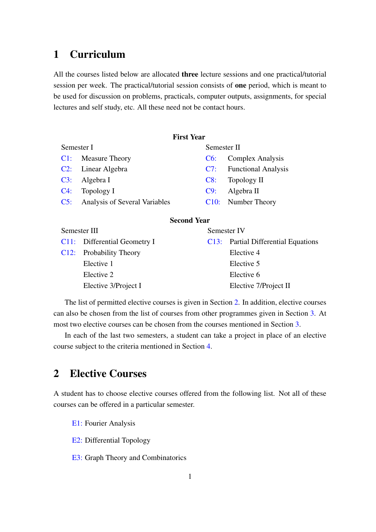# <span id="page-4-0"></span>1 Curriculum

All the courses listed below are allocated three lecture sessions and one practical/tutorial session per week. The practical/tutorial session consists of one period, which is meant to be used for discussion on problems, practicals, computer outputs, assignments, for special lectures and self study, etc. All these need not be contact hours.

# First Year

| Semester I |                                   |     | Semester II             |  |
|------------|-----------------------------------|-----|-------------------------|--|
|            | C1: Measure Theory                | C6: | Complex Analysis        |  |
|            | C <sub>2</sub> : Linear Algebra   |     | C7: Functional Analysis |  |
|            | $C3:$ Algebra I                   |     | $C8$ : Topology II      |  |
|            | $C4$ : Topology I                 | C9: | Algebra II              |  |
|            | C5: Analysis of Several Variables |     | C10: Number Theory      |  |

# Second Year

| Semester III |                              | Semester IV |                                     |
|--------------|------------------------------|-------------|-------------------------------------|
|              | C11: Differential Geometry I |             | C13: Partial Differential Equations |
|              | C12: Probability Theory      |             | Elective 4                          |
|              | Elective 1                   |             | Elective 5                          |
|              | Elective 2                   |             | Elective 6                          |
|              | Elective 3/Project I         |             | Elective 7/Project II               |
|              |                              |             |                                     |

The list of permitted elective courses is given in Section [2.](#page-4-1) In addition, elective courses can also be chosen from the list of courses from other programmes given in Section [3.](#page-7-0) At most two elective courses can be chosen from the courses mentioned in Section [3.](#page-7-0)

In each of the last two semesters, a student can take a project in place of an elective course subject to the criteria mentioned in Section [4.](#page-9-0)

# <span id="page-4-1"></span>2 Elective Courses

A student has to choose elective courses offered from the following list. Not all of these courses can be offered in a particular semester.

[E1:](#page-22-0) Fourier Analysis

[E2:](#page-23-0) Differential Topology

[E3:](#page-23-1) Graph Theory and Combinatorics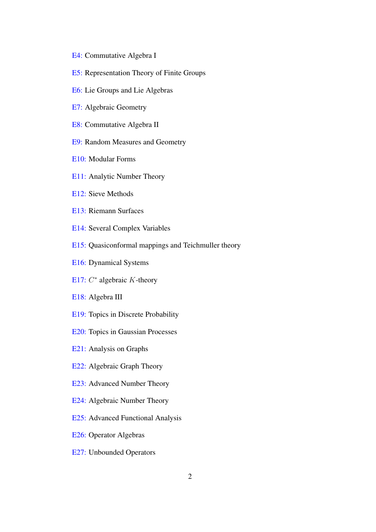- [E4:](#page-24-0) Commutative Algebra I
- [E5:](#page-25-0) Representation Theory of Finite Groups
- [E6:](#page-26-0) Lie Groups and Lie Algebras
- [E7:](#page-27-0) Algebraic Geometry
- [E8:](#page-27-1) Commutative Algebra II
- [E9:](#page-28-0) Random Measures and Geometry
- [E10:](#page-29-0) Modular Forms
- [E11:](#page-29-1) Analytic Number Theory
- [E12:](#page-30-0) Sieve Methods
- [E13:](#page-30-1) Riemann Surfaces
- [E14:](#page-31-0) Several Complex Variables
- [E15:](#page-32-0) Quasiconformal mappings and Teichmuller theory
- [E16:](#page-33-0) Dynamical Systems
- [E17:](#page-34-0)  $C^*$  algebraic  $K$ -theory
- [E18:](#page-35-0) Algebra III
- [E19:](#page-36-0) Topics in Discrete Probability
- [E20:](#page-36-1) Topics in Gaussian Processes
- [E21:](#page-37-0) Analysis on Graphs
- [E22:](#page-37-1) Algebraic Graph Theory
- [E23:](#page-37-2) Advanced Number Theory
- [E24:](#page-38-0) Algebraic Number Theory
- [E25:](#page-38-1) Advanced Functional Analysis
- [E26:](#page-39-0) Operator Algebras
- [E27:](#page-40-0) Unbounded Operators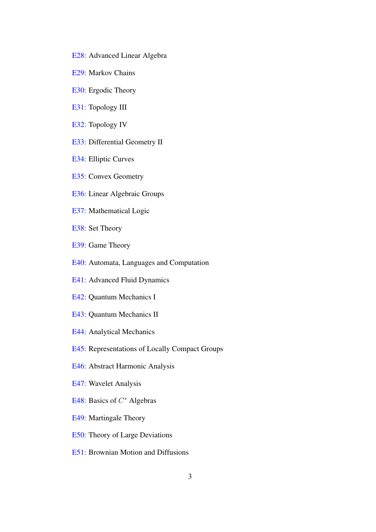- [E28:](#page-40-1) Advanced Linear Algebra
- [E29:](#page-40-2) Markov Chains
- [E30:](#page-41-0) Ergodic Theory
- [E31:](#page-42-0) Topology III
- [E32:](#page-43-0) Topology IV
- [E33:](#page-43-1) Differential Geometry II
- [E34:](#page-44-0) Elliptic Curves
- [E35:](#page-44-1) Convex Geometry
- [E36:](#page-45-0) Linear Algebraic Groups
- [E37:](#page-46-0) Mathematical Logic
- [E38:](#page-46-1) Set Theory
- [E39:](#page-47-0) Game Theory
- [E40:](#page-48-0) Automata, Languages and Computation
- [E41:](#page-49-0) Advanced Fluid Dynamics
- [E42:](#page-50-0) Quantum Mechanics I
- [E43:](#page-51-0) Quantum Mechanics II
- [E44:](#page-51-1) Analytical Mechanics
- [E45:](#page-52-0) Representations of Locally Compact Groups
- [E46:](#page-52-1) Abstract Harmonic Analysis
- [E47:](#page-53-0) Wavelet Analysis
- [E48:](#page-54-0) Basics of  $C^*$  Algebras
- [E49:](#page-54-1) Martingale Theory
- [E50:](#page-55-0) Theory of Large Deviations
- [E51:](#page-56-0) Brownian Motion and Diffusions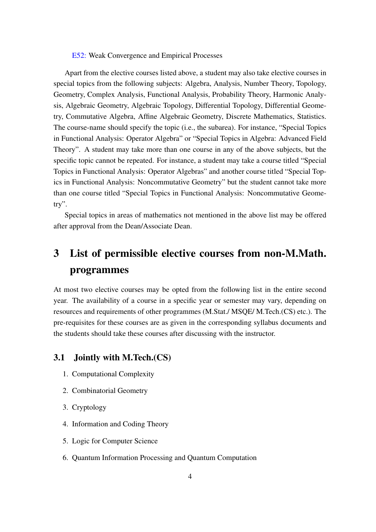#### [E52:](#page-57-0) Weak Convergence and Empirical Processes

Apart from the elective courses listed above, a student may also take elective courses in special topics from the following subjects: Algebra, Analysis, Number Theory, Topology, Geometry, Complex Analysis, Functional Analysis, Probability Theory, Harmonic Analysis, Algebraic Geometry, Algebraic Topology, Differential Topology, Differential Geometry, Commutative Algebra, Affine Algebraic Geometry, Discrete Mathematics, Statistics. The course-name should specify the topic (i.e., the subarea). For instance, "Special Topics in Functional Analysis: Operator Algebra" or "Special Topics in Algebra: Advanced Field Theory". A student may take more than one course in any of the above subjects, but the specific topic cannot be repeated. For instance, a student may take a course titled "Special Topics in Functional Analysis: Operator Algebras" and another course titled "Special Topics in Functional Analysis: Noncommutative Geometry" but the student cannot take more than one course titled "Special Topics in Functional Analysis: Noncommutative Geometry".

Special topics in areas of mathematics not mentioned in the above list may be offered after approval from the Dean/Associate Dean.

# <span id="page-7-0"></span>3 List of permissible elective courses from non-M.Math. programmes

At most two elective courses may be opted from the following list in the entire second year. The availability of a course in a specific year or semester may vary, depending on resources and requirements of other programmes (M.Stat./ MSQE/ M.Tech.(CS) etc.). The pre-requisites for these courses are as given in the corresponding syllabus documents and the students should take these courses after discussing with the instructor.

# <span id="page-7-1"></span>3.1 Jointly with M.Tech.(CS)

- 1. Computational Complexity
- 2. Combinatorial Geometry
- 3. Cryptology
- 4. Information and Coding Theory
- 5. Logic for Computer Science
- 6. Quantum Information Processing and Quantum Computation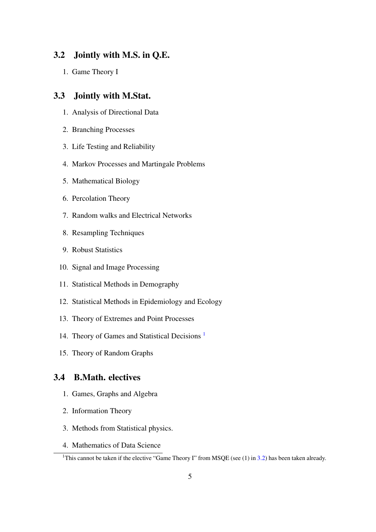# <span id="page-8-0"></span>3.2 Jointly with M.S. in Q.E.

1. Game Theory I

# <span id="page-8-1"></span>3.3 Jointly with M.Stat.

- 1. Analysis of Directional Data
- 2. Branching Processes
- 3. Life Testing and Reliability
- 4. Markov Processes and Martingale Problems
- 5. Mathematical Biology
- 6. Percolation Theory
- 7. Random walks and Electrical Networks
- 8. Resampling Techniques
- 9. Robust Statistics
- 10. Signal and Image Processing
- 11. Statistical Methods in Demography
- 12. Statistical Methods in Epidemiology and Ecology
- 13. Theory of Extremes and Point Processes
- 14. Theory of Games and Statistical Decisions [1](#page-8-3)
- 15. Theory of Random Graphs

# <span id="page-8-2"></span>3.4 B.Math. electives

- 1. Games, Graphs and Algebra
- 2. Information Theory
- 3. Methods from Statistical physics.
- 4. Mathematics of Data Science

<span id="page-8-3"></span><sup>&</sup>lt;sup>1</sup>This cannot be taken if the elective "Game Theory I" from MSQE (see (1) in [3.2\)](#page-8-0) has been taken already.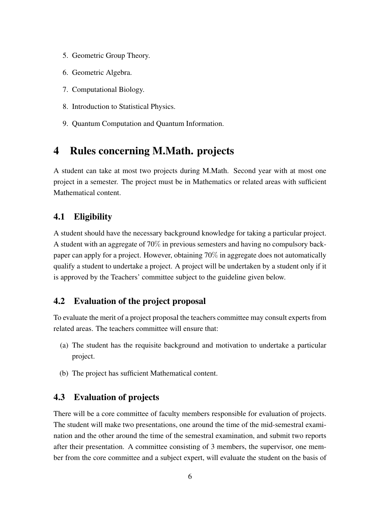- 5. Geometric Group Theory.
- 6. Geometric Algebra.
- 7. Computational Biology.
- 8. Introduction to Statistical Physics.
- 9. Quantum Computation and Quantum Information.

# <span id="page-9-0"></span>4 Rules concerning M.Math. projects

A student can take at most two projects during M.Math. Second year with at most one project in a semester. The project must be in Mathematics or related areas with sufficient Mathematical content.

# <span id="page-9-1"></span>4.1 Eligibility

A student should have the necessary background knowledge for taking a particular project. A student with an aggregate of 70% in previous semesters and having no compulsory backpaper can apply for a project. However, obtaining 70% in aggregate does not automatically qualify a student to undertake a project. A project will be undertaken by a student only if it is approved by the Teachers' committee subject to the guideline given below.

# <span id="page-9-2"></span>4.2 Evaluation of the project proposal

To evaluate the merit of a project proposal the teachers committee may consult experts from related areas. The teachers committee will ensure that:

- (a) The student has the requisite background and motivation to undertake a particular project.
- (b) The project has sufficient Mathematical content.

# <span id="page-9-3"></span>4.3 Evaluation of projects

There will be a core committee of faculty members responsible for evaluation of projects. The student will make two presentations, one around the time of the mid-semestral examination and the other around the time of the semestral examination, and submit two reports after their presentation. A committee consisting of 3 members, the supervisor, one member from the core committee and a subject expert, will evaluate the student on the basis of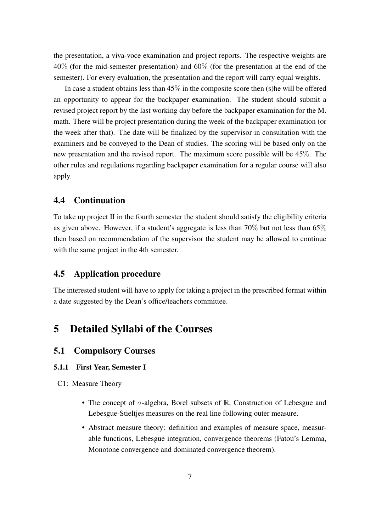the presentation, a viva-voce examination and project reports. The respective weights are 40% (for the mid-semester presentation) and 60% (for the presentation at the end of the semester). For every evaluation, the presentation and the report will carry equal weights.

In case a student obtains less than  $45\%$  in the composite score then (s) he will be offered an opportunity to appear for the backpaper examination. The student should submit a revised project report by the last working day before the backpaper examination for the M. math. There will be project presentation during the week of the backpaper examination (or the week after that). The date will be finalized by the supervisor in consultation with the examiners and be conveyed to the Dean of studies. The scoring will be based only on the new presentation and the revised report. The maximum score possible will be 45%. The other rules and regulations regarding backpaper examination for a regular course will also apply.

# <span id="page-10-0"></span>4.4 Continuation

To take up project II in the fourth semester the student should satisfy the eligibility criteria as given above. However, if a student's aggregate is less than 70% but not less than 65% then based on recommendation of the supervisor the student may be allowed to continue with the same project in the 4th semester.

# <span id="page-10-1"></span>4.5 Application procedure

The interested student will have to apply for taking a project in the prescribed format within a date suggested by the Dean's office/teachers committee.

# <span id="page-10-2"></span>5 Detailed Syllabi of the Courses

# <span id="page-10-3"></span>5.1 Compulsory Courses

# <span id="page-10-4"></span>5.1.1 First Year, Semester I

C1: Measure Theory

- The concept of  $\sigma$ -algebra, Borel subsets of R, Construction of Lebesgue and Lebesgue-Stieltjes measures on the real line following outer measure.
- Abstract measure theory: definition and examples of measure space, measurable functions, Lebesgue integration, convergence theorems (Fatou's Lemma, Monotone convergence and dominated convergence theorem).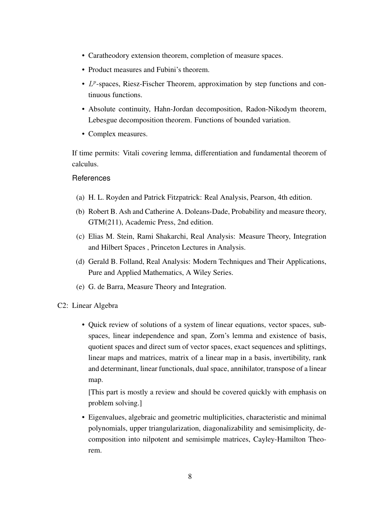- Caratheodory extension theorem, completion of measure spaces.
- Product measures and Fubini's theorem.
- $\bullet$   $L^p$ -spaces, Riesz-Fischer Theorem, approximation by step functions and continuous functions.
- Absolute continuity, Hahn-Jordan decomposition, Radon-Nikodym theorem, Lebesgue decomposition theorem. Functions of bounded variation.
- Complex measures.

If time permits: Vitali covering lemma, differentiation and fundamental theorem of calculus.

# **References**

- (a) H. L. Royden and Patrick Fitzpatrick: Real Analysis, Pearson, 4th edition.
- (b) Robert B. Ash and Catherine A. Doleans-Dade, Probability and measure theory, GTM(211), Academic Press, 2nd edition.
- (c) Elias M. Stein, Rami Shakarchi, Real Analysis: Measure Theory, Integration and Hilbert Spaces , Princeton Lectures in Analysis.
- (d) Gerald B. Folland, Real Analysis: Modern Techniques and Their Applications, Pure and Applied Mathematics, A Wiley Series.
- <span id="page-11-0"></span>(e) G. de Barra, Measure Theory and Integration.
- C2: Linear Algebra
	- Quick review of solutions of a system of linear equations, vector spaces, subspaces, linear independence and span, Zorn's lemma and existence of basis, quotient spaces and direct sum of vector spaces, exact sequences and splittings, linear maps and matrices, matrix of a linear map in a basis, invertibility, rank and determinant, linear functionals, dual space, annihilator, transpose of a linear map.

[This part is mostly a review and should be covered quickly with emphasis on problem solving.]

• Eigenvalues, algebraic and geometric multiplicities, characteristic and minimal polynomials, upper triangularization, diagonalizability and semisimplicity, decomposition into nilpotent and semisimple matrices, Cayley-Hamilton Theorem.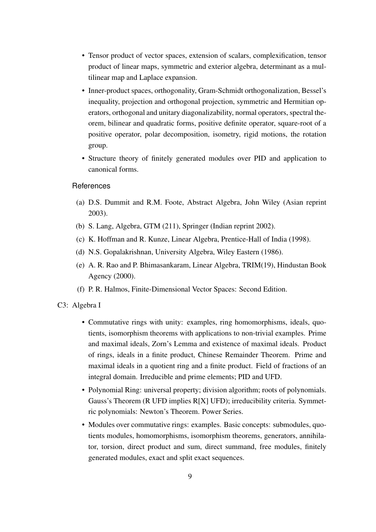- Tensor product of vector spaces, extension of scalars, complexification, tensor product of linear maps, symmetric and exterior algebra, determinant as a multilinear map and Laplace expansion.
- Inner-product spaces, orthogonality, Gram-Schmidt orthogonalization, Bessel's inequality, projection and orthogonal projection, symmetric and Hermitian operators, orthogonal and unitary diagonalizability, normal operators, spectral theorem, bilinear and quadratic forms, positive definite operator, square-root of a positive operator, polar decomposition, isometry, rigid motions, the rotation group.
- Structure theory of finitely generated modules over PID and application to canonical forms.

- (a) D.S. Dummit and R.M. Foote, Abstract Algebra, John Wiley (Asian reprint 2003).
- (b) S. Lang, Algebra, GTM (211), Springer (Indian reprint 2002).
- (c) K. Hoffman and R. Kunze, Linear Algebra, Prentice-Hall of India (1998).
- (d) N.S. Gopalakrishnan, University Algebra, Wiley Eastern (1986).
- (e) A. R. Rao and P. Bhimasankaram, Linear Algebra, TRIM(19), Hindustan Book Agency (2000).
- (f) P. R. Halmos, Finite-Dimensional Vector Spaces: Second Edition.

#### <span id="page-12-0"></span>C3: Algebra I

- Commutative rings with unity: examples, ring homomorphisms, ideals, quotients, isomorphism theorems with applications to non-trivial examples. Prime and maximal ideals, Zorn's Lemma and existence of maximal ideals. Product of rings, ideals in a finite product, Chinese Remainder Theorem. Prime and maximal ideals in a quotient ring and a finite product. Field of fractions of an integral domain. Irreducible and prime elements; PID and UFD.
- Polynomial Ring: universal property; division algorithm; roots of polynomials. Gauss's Theorem (R UFD implies R[X] UFD); irreducibility criteria. Symmetric polynomials: Newton's Theorem. Power Series.
- Modules over commutative rings: examples. Basic concepts: submodules, quotients modules, homomorphisms, isomorphism theorems, generators, annihilator, torsion, direct product and sum, direct summand, free modules, finitely generated modules, exact and split exact sequences.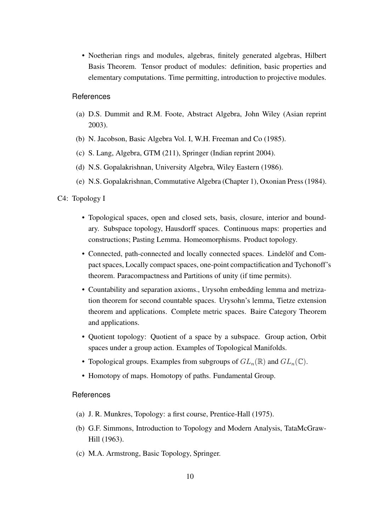• Noetherian rings and modules, algebras, finitely generated algebras, Hilbert Basis Theorem. Tensor product of modules: definition, basic properties and elementary computations. Time permitting, introduction to projective modules.

# **References**

- (a) D.S. Dummit and R.M. Foote, Abstract Algebra, John Wiley (Asian reprint 2003).
- (b) N. Jacobson, Basic Algebra Vol. I, W.H. Freeman and Co (1985).
- (c) S. Lang, Algebra, GTM (211), Springer (Indian reprint 2004).
- (d) N.S. Gopalakrishnan, University Algebra, Wiley Eastern (1986).
- (e) N.S. Gopalakrishnan, Commutative Algebra (Chapter 1), Oxonian Press (1984).

# <span id="page-13-0"></span>C4: Topology I

- Topological spaces, open and closed sets, basis, closure, interior and boundary. Subspace topology, Hausdorff spaces. Continuous maps: properties and constructions; Pasting Lemma. Homeomorphisms. Product topology.
- Connected, path-connected and locally connected spaces. Lindelöf and Compact spaces, Locally compact spaces, one-point compactification and Tychonoff's theorem. Paracompactness and Partitions of unity (if time permits).
- Countability and separation axioms., Urysohn embedding lemma and metrization theorem for second countable spaces. Urysohn's lemma, Tietze extension theorem and applications. Complete metric spaces. Baire Category Theorem and applications.
- Quotient topology: Quotient of a space by a subspace. Group action, Orbit spaces under a group action. Examples of Topological Manifolds.
- Topological groups. Examples from subgroups of  $GL_n(\mathbb{R})$  and  $GL_n(\mathbb{C})$ .
- Homotopy of maps. Homotopy of paths. Fundamental Group.

- (a) J. R. Munkres, Topology: a first course, Prentice-Hall (1975).
- (b) G.F. Simmons, Introduction to Topology and Modern Analysis, TataMcGraw-Hill (1963).
- (c) M.A. Armstrong, Basic Topology, Springer.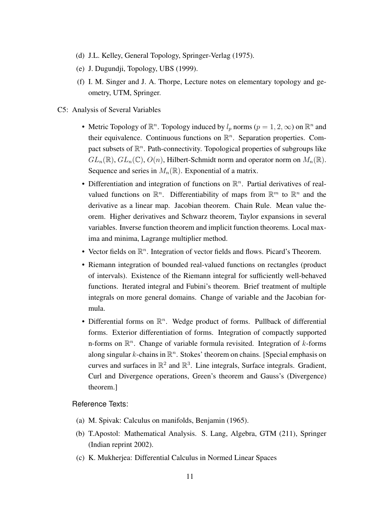- (d) J.L. Kelley, General Topology, Springer-Verlag (1975).
- (e) J. Dugundji, Topology, UBS (1999).
- <span id="page-14-0"></span>(f) I. M. Singer and J. A. Thorpe, Lecture notes on elementary topology and geometry, UTM, Springer.
- C5: Analysis of Several Variables
	- Metric Topology of  $\mathbb{R}^n$ . Topology induced by  $l_p$  norms  $(p = 1, 2, \infty)$  on  $\mathbb{R}^n$  and their equivalence. Continuous functions on  $\mathbb{R}^n$ . Separation properties. Compact subsets of  $\mathbb{R}^n$ . Path-connectivity. Topological properties of subgroups like  $GL_n(\mathbb{R})$ ,  $GL_n(\mathbb{C})$ ,  $O(n)$ , Hilbert-Schmidt norm and operator norm on  $M_n(\mathbb{R})$ . Sequence and series in  $M_n(\mathbb{R})$ . Exponential of a matrix.
	- Differentiation and integration of functions on  $\mathbb{R}^n$ . Partial derivatives of realvalued functions on  $\mathbb{R}^n$ . Differentiability of maps from  $\mathbb{R}^m$  to  $\mathbb{R}^n$  and the derivative as a linear map. Jacobian theorem. Chain Rule. Mean value theorem. Higher derivatives and Schwarz theorem, Taylor expansions in several variables. Inverse function theorem and implicit function theorems. Local maxima and minima, Lagrange multiplier method.
	- Vector fields on  $\mathbb{R}^n$ . Integration of vector fields and flows. Picard's Theorem.
	- Riemann integration of bounded real-valued functions on rectangles (product of intervals). Existence of the Riemann integral for sufficiently well-behaved functions. Iterated integral and Fubini's theorem. Brief treatment of multiple integrals on more general domains. Change of variable and the Jacobian formula.
	- Differential forms on  $\mathbb{R}^n$ . Wedge product of forms. Pullback of differential forms. Exterior differentiation of forms. Integration of compactly supported n-forms on  $\mathbb{R}^n$ . Change of variable formula revisited. Integration of k-forms along singular k-chains in  $\mathbb{R}^n$ . Stokes' theorem on chains. [Special emphasis on curves and surfaces in  $\mathbb{R}^2$  and  $\mathbb{R}^3$ . Line integrals, Surface integrals. Gradient, Curl and Divergence operations, Green's theorem and Gauss's (Divergence) theorem.]

# Reference Texts:

- (a) M. Spivak: Calculus on manifolds, Benjamin (1965).
- (b) T.Apostol: Mathematical Analysis. S. Lang, Algebra, GTM (211), Springer (Indian reprint 2002).
- (c) K. Mukherjea: Differential Calculus in Normed Linear Spaces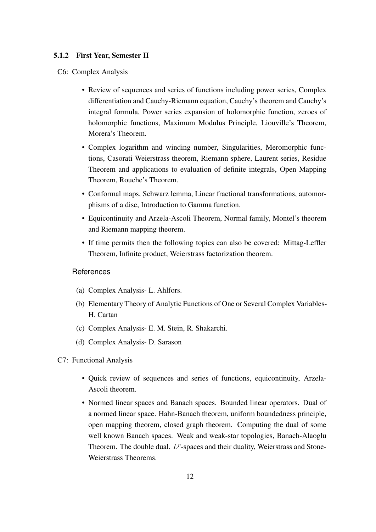#### <span id="page-15-0"></span>5.1.2 First Year, Semester II

C6: Complex Analysis

- Review of sequences and series of functions including power series, Complex differentiation and Cauchy-Riemann equation, Cauchy's theorem and Cauchy's integral formula, Power series expansion of holomorphic function, zeroes of holomorphic functions, Maximum Modulus Principle, Liouville's Theorem, Morera's Theorem.
- Complex logarithm and winding number, Singularities, Meromorphic functions, Casorati Weierstrass theorem, Riemann sphere, Laurent series, Residue Theorem and applications to evaluation of definite integrals, Open Mapping Theorem, Rouche's Theorem.
- Conformal maps, Schwarz lemma, Linear fractional transformations, automorphisms of a disc, Introduction to Gamma function.
- Equicontinuity and Arzela-Ascoli Theorem, Normal family, Montel's theorem and Riemann mapping theorem.
- If time permits then the following topics can also be covered: Mittag-Leffler Theorem, Infinite product, Weierstrass factorization theorem.

- (a) Complex Analysis- L. Ahlfors.
- (b) Elementary Theory of Analytic Functions of One or Several Complex Variables-H. Cartan
- (c) Complex Analysis- E. M. Stein, R. Shakarchi.
- <span id="page-15-1"></span>(d) Complex Analysis- D. Sarason
- C7: Functional Analysis
	- Quick review of sequences and series of functions, equicontinuity, Arzela-Ascoli theorem.
	- Normed linear spaces and Banach spaces. Bounded linear operators. Dual of a normed linear space. Hahn-Banach theorem, uniform boundedness principle, open mapping theorem, closed graph theorem. Computing the dual of some well known Banach spaces. Weak and weak-star topologies, Banach-Alaoglu Theorem. The double dual.  $L^p$ -spaces and their duality, Weierstrass and Stone-Weierstrass Theorems.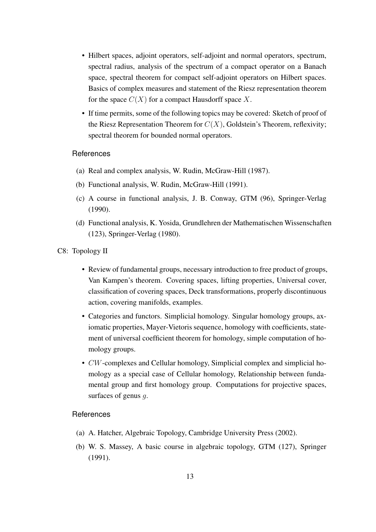- Hilbert spaces, adjoint operators, self-adjoint and normal operators, spectrum, spectral radius, analysis of the spectrum of a compact operator on a Banach space, spectral theorem for compact self-adjoint operators on Hilbert spaces. Basics of complex measures and statement of the Riesz representation theorem for the space  $C(X)$  for a compact Hausdorff space X.
- If time permits, some of the following topics may be covered: Sketch of proof of the Riesz Representation Theorem for  $C(X)$ , Goldstein's Theorem, reflexivity; spectral theorem for bounded normal operators.

- (a) Real and complex analysis, W. Rudin, McGraw-Hill (1987).
- (b) Functional analysis, W. Rudin, McGraw-Hill (1991).
- (c) A course in functional analysis, J. B. Conway, GTM (96), Springer-Verlag (1990).
- <span id="page-16-0"></span>(d) Functional analysis, K. Yosida, Grundlehren der Mathematischen Wissenschaften (123), Springer-Verlag (1980).
- C8: Topology II
	- Review of fundamental groups, necessary introduction to free product of groups, Van Kampen's theorem. Covering spaces, lifting properties, Universal cover, classification of covering spaces, Deck transformations, properly discontinuous action, covering manifolds, examples.
	- Categories and functors. Simplicial homology. Singular homology groups, axiomatic properties, Mayer-Vietoris sequence, homology with coefficients, statement of universal coefficient theorem for homology, simple computation of homology groups.
	- CW-complexes and Cellular homology, Simplicial complex and simplicial homology as a special case of Cellular homology, Relationship between fundamental group and first homology group. Computations for projective spaces, surfaces of genus q.

- (a) A. Hatcher, Algebraic Topology, Cambridge University Press (2002).
- (b) W. S. Massey, A basic course in algebraic topology, GTM (127), Springer (1991).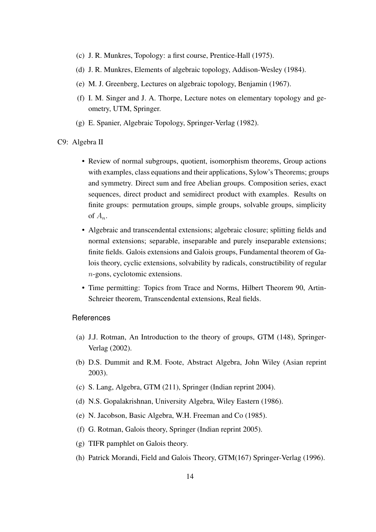- (c) J. R. Munkres, Topology: a first course, Prentice-Hall (1975).
- (d) J. R. Munkres, Elements of algebraic topology, Addison-Wesley (1984).
- (e) M. J. Greenberg, Lectures on algebraic topology, Benjamin (1967).
- (f) I. M. Singer and J. A. Thorpe, Lecture notes on elementary topology and geometry, UTM, Springer.
- <span id="page-17-0"></span>(g) E. Spanier, Algebraic Topology, Springer-Verlag (1982).
- C9: Algebra II
	- Review of normal subgroups, quotient, isomorphism theorems, Group actions with examples, class equations and their applications, Sylow's Theorems; groups and symmetry. Direct sum and free Abelian groups. Composition series, exact sequences, direct product and semidirect product with examples. Results on finite groups: permutation groups, simple groups, solvable groups, simplicity of  $A_n$ .
	- Algebraic and transcendental extensions; algebraic closure; splitting fields and normal extensions; separable, inseparable and purely inseparable extensions; finite fields. Galois extensions and Galois groups, Fundamental theorem of Galois theory, cyclic extensions, solvability by radicals, constructibility of regular n-gons, cyclotomic extensions.
	- Time permitting: Topics from Trace and Norms, Hilbert Theorem 90, Artin-Schreier theorem, Transcendental extensions, Real fields.

- (a) J.J. Rotman, An Introduction to the theory of groups, GTM (148), Springer-Verlag (2002).
- (b) D.S. Dummit and R.M. Foote, Abstract Algebra, John Wiley (Asian reprint 2003).
- (c) S. Lang, Algebra, GTM (211), Springer (Indian reprint 2004).
- (d) N.S. Gopalakrishnan, University Algebra, Wiley Eastern (1986).
- (e) N. Jacobson, Basic Algebra, W.H. Freeman and Co (1985).
- (f) G. Rotman, Galois theory, Springer (Indian reprint 2005).
- (g) TIFR pamphlet on Galois theory.
- (h) Patrick Morandi, Field and Galois Theory, GTM(167) Springer-Verlag (1996).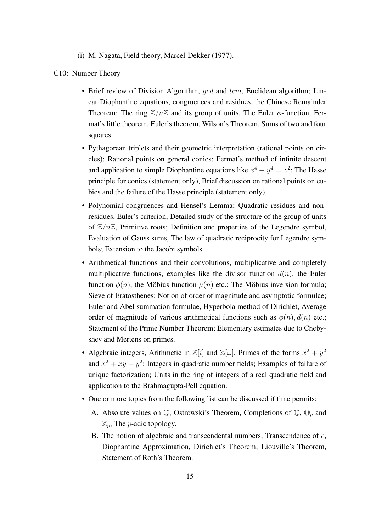(i) M. Nagata, Field theory, Marcel-Dekker (1977).

#### <span id="page-18-0"></span>C10: Number Theory

- Brief review of Division Algorithm,  $qcd$  and  $lcm$ , Euclidean algorithm; Linear Diophantine equations, congruences and residues, the Chinese Remainder Theorem; The ring  $\mathbb{Z}/n\mathbb{Z}$  and its group of units, The Euler  $\phi$ -function, Fermat's little theorem, Euler's theorem, Wilson's Theorem, Sums of two and four squares.
- Pythagorean triplets and their geometric interpretation (rational points on circles); Rational points on general conics; Fermat's method of infinite descent and application to simple Diophantine equations like  $x^4 + y^4 = z^2$ ; The Hasse principle for conics (statement only), Brief discussion on rational points on cubics and the failure of the Hasse principle (statement only).
- Polynomial congruences and Hensel's Lemma; Quadratic residues and nonresidues, Euler's criterion, Detailed study of the structure of the group of units of  $\mathbb{Z}/n\mathbb{Z}$ , Primitive roots; Definition and properties of the Legendre symbol, Evaluation of Gauss sums, The law of quadratic reciprocity for Legendre symbols; Extension to the Jacobi symbols.
- Arithmetical functions and their convolutions, multiplicative and completely multiplicative functions, examples like the divisor function  $d(n)$ , the Euler function  $\phi(n)$ , the Möbius function  $\mu(n)$  etc.; The Möbius inversion formula; Sieve of Eratosthenes; Notion of order of magnitude and asymptotic formulae; Euler and Abel summation formulae, Hyperbola method of Dirichlet, Average order of magnitude of various arithmetical functions such as  $\phi(n)$ ,  $d(n)$  etc.; Statement of the Prime Number Theorem; Elementary estimates due to Chebyshev and Mertens on primes.
- Algebraic integers, Arithmetic in  $\mathbb{Z}[i]$  and  $\mathbb{Z}[\omega]$ , Primes of the forms  $x^2 + y^2$ and  $x^2 + xy + y^2$ ; Integers in quadratic number fields; Examples of failure of unique factorization; Units in the ring of integers of a real quadratic field and application to the Brahmagupta-Pell equation.
- One or more topics from the following list can be discussed if time permits:
	- A. Absolute values on  $\mathbb Q$ , Ostrowski's Theorem, Completions of  $\mathbb Q$ ,  $\mathbb Q_p$  and  $\mathbb{Z}_p$ , The *p*-adic topology.
	- B. The notion of algebraic and transcendental numbers; Transcendence of  $e$ , Diophantine Approximation, Dirichlet's Theorem; Liouville's Theorem, Statement of Roth's Theorem.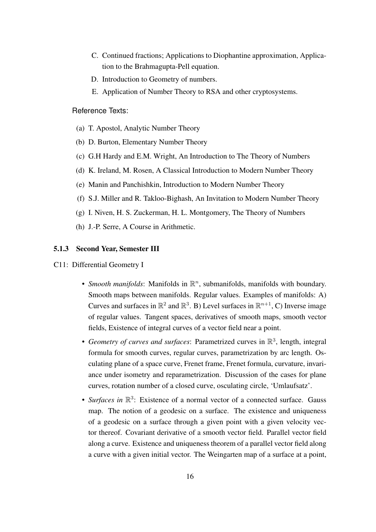- C. Continued fractions; Applications to Diophantine approximation, Application to the Brahmagupta-Pell equation.
- D. Introduction to Geometry of numbers.
- E. Application of Number Theory to RSA and other cryptosystems.

# Reference Texts:

- (a) T. Apostol, Analytic Number Theory
- (b) D. Burton, Elementary Number Theory
- (c) G.H Hardy and E.M. Wright, An Introduction to The Theory of Numbers
- (d) K. Ireland, M. Rosen, A Classical Introduction to Modern Number Theory
- (e) Manin and Panchishkin, Introduction to Modern Number Theory
- (f) S.J. Miller and R. Takloo-Bighash, An Invitation to Modern Number Theory
- (g) I. Niven, H. S. Zuckerman, H. L. Montgomery, The Theory of Numbers
- (h) J.-P. Serre, A Course in Arithmetic.

# <span id="page-19-0"></span>5.1.3 Second Year, Semester III

- C11: Differential Geometry I
	- *Smooth manifolds*: Manifolds in  $\mathbb{R}^n$ , submanifolds, manifolds with boundary. Smooth maps between manifolds. Regular values. Examples of manifolds: A) Curves and surfaces in  $\mathbb{R}^2$  and  $\mathbb{R}^3$ . B) Level surfaces in  $\mathbb{R}^{n+1}$ , C) Inverse image of regular values. Tangent spaces, derivatives of smooth maps, smooth vector fields, Existence of integral curves of a vector field near a point.
	- Geometry of curves and surfaces: Parametrized curves in  $\mathbb{R}^3$ , length, integral formula for smooth curves, regular curves, parametrization by arc length. Osculating plane of a space curve, Frenet frame, Frenet formula, curvature, invariance under isometry and reparametrization. Discussion of the cases for plane curves, rotation number of a closed curve, osculating circle, 'Umlaufsatz'.
	- *Surfaces in*  $\mathbb{R}^3$ : Existence of a normal vector of a connected surface. Gauss map. The notion of a geodesic on a surface. The existence and uniqueness of a geodesic on a surface through a given point with a given velocity vector thereof. Covariant derivative of a smooth vector field. Parallel vector field along a curve. Existence and uniqueness theorem of a parallel vector field along a curve with a given initial vector. The Weingarten map of a surface at a point,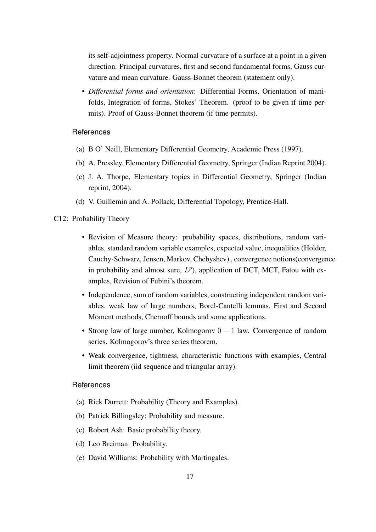its self-adjointness property. Normal curvature of a surface at a point in a given direction. Principal curvatures, first and second fundamental forms, Gauss curvature and mean curvature. Gauss-Bonnet theorem (statement only).

• *Differential forms and orientation*: Differential Forms, Orientation of manifolds, Integration of forms, Stokes' Theorem. (proof to be given if time permits). Proof of Gauss-Bonnet theorem (if time permits).

# **References**

- (a) B O' Neill, Elementary Differential Geometry, Academic Press (1997).
- (b) A. Pressley, Elementary Differential Geometry, Springer (Indian Reprint 2004).
- (c) J. A. Thorpe, Elementary topics in Differential Geometry, Springer (Indian reprint, 2004).
- (d) V. Guillemin and A. Pollack, Differential Topology, Prentice-Hall.

# <span id="page-20-0"></span>C12: Probability Theory

- Revision of Measure theory: probability spaces, distributions, random variables, standard random variable examples, expected value, inequalities (Holder, Cauchy-Schwarz, Jensen, Markov, Chebyshev) , convergence notions(convergence in probability and almost sure,  $L^p$ ), application of DCT, MCT, Fatou with examples, Revision of Fubini's theorem.
- Independence, sum of random variables, constructing independent random variables, weak law of large numbers, Borel-Cantelli lemmas, First and Second Moment methods, Chernoff bounds and some applications.
- Strong law of large number, Kolmogorov  $0 1$  law. Convergence of random series. Kolmogorov's three series theorem.
- Weak convergence, tightness, characteristic functions with examples, Central limit theorem (iid sequence and triangular array).

- (a) Rick Durrett: Probability (Theory and Examples).
- (b) Patrick Billingsley: Probability and measure.
- (c) Robert Ash: Basic probability theory.
- (d) Leo Breiman: Probability.
- (e) David Williams: Probability with Martingales.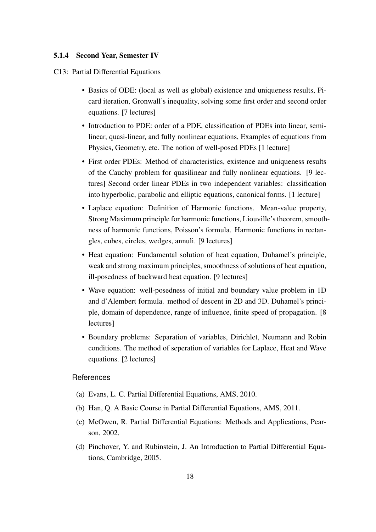#### <span id="page-21-0"></span>5.1.4 Second Year, Semester IV

- C13: Partial Differential Equations
	- Basics of ODE: (local as well as global) existence and uniqueness results, Picard iteration, Gronwall's inequality, solving some first order and second order equations. [7 lectures]
	- Introduction to PDE: order of a PDE, classification of PDEs into linear, semilinear, quasi-linear, and fully nonlinear equations, Examples of equations from Physics, Geometry, etc. The notion of well-posed PDEs [1 lecture]
	- First order PDEs: Method of characteristics, existence and uniqueness results of the Cauchy problem for quasilinear and fully nonlinear equations. [9 lectures] Second order linear PDEs in two independent variables: classification into hyperbolic, parabolic and elliptic equations, canonical forms. [1 lecture]
	- Laplace equation: Definition of Harmonic functions. Mean-value property, Strong Maximum principle for harmonic functions, Liouville's theorem, smoothness of harmonic functions, Poisson's formula. Harmonic functions in rectangles, cubes, circles, wedges, annuli. [9 lectures]
	- Heat equation: Fundamental solution of heat equation, Duhamel's principle, weak and strong maximum principles, smoothness of solutions of heat equation, ill-posedness of backward heat equation. [9 lectures]
	- Wave equation: well-posedness of initial and boundary value problem in 1D and d'Alembert formula. method of descent in 2D and 3D. Duhamel's principle, domain of dependence, range of influence, finite speed of propagation. [8 lectures]
	- Boundary problems: Separation of variables, Dirichlet, Neumann and Robin conditions. The method of seperation of variables for Laplace, Heat and Wave equations. [2 lectures]

- (a) Evans, L. C. Partial Differential Equations, AMS, 2010.
- (b) Han, Q. A Basic Course in Partial Differential Equations, AMS, 2011.
- (c) McOwen, R. Partial Differential Equations: Methods and Applications, Pearson, 2002.
- (d) Pinchover, Y. and Rubinstein, J. An Introduction to Partial Differential Equations, Cambridge, 2005.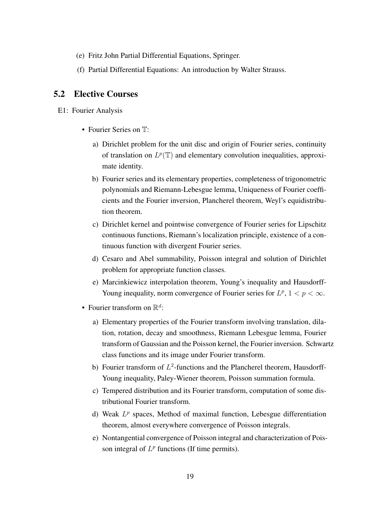- (e) Fritz John Partial Differential Equations, Springer.
- (f) Partial Differential Equations: An introduction by Walter Strauss.

# <span id="page-22-0"></span>5.2 Elective Courses

E1: Fourier Analysis

- Fourier Series on  $T$ :
	- a) Dirichlet problem for the unit disc and origin of Fourier series, continuity of translation on  $L^p(\mathbb{T})$  and elementary convolution inequalities, approximate identity.
	- b) Fourier series and its elementary properties, completeness of trigonometric polynomials and Riemann-Lebesgue lemma, Uniqueness of Fourier coefficients and the Fourier inversion, Plancherel theorem, Weyl's equidistribution theorem.
	- c) Dirichlet kernel and pointwise convergence of Fourier series for Lipschitz continuous functions, Riemann's localization principle, existence of a continuous function with divergent Fourier series.
	- d) Cesaro and Abel summability, Poisson integral and solution of Dirichlet problem for appropriate function classes.
	- e) Marcinkiewicz interpolation theorem, Young's inequality and Hausdorff-Young inequality, norm convergence of Fourier series for  $L^p$ ,  $1 < p < \infty$ .
- Fourier transform on  $\mathbb{R}^d$ :
	- a) Elementary properties of the Fourier transform involving translation, dilation, rotation, decay and smoothness, Riemann Lebesgue lemma, Fourier transform of Gaussian and the Poisson kernel, the Fourier inversion. Schwartz class functions and its image under Fourier transform.
	- b) Fourier transform of  $L^2$ -functions and the Plancherel theorem, Hausdorff-Young inequality, Paley-Wiener theorem, Poisson summation formula.
	- c) Tempered distribution and its Fourier transform, computation of some distributional Fourier transform.
	- d) Weak  $L^p$  spaces, Method of maximal function, Lebesgue differentiation theorem, almost everywhere convergence of Poisson integrals.
	- e) Nontangential convergence of Poisson integral and characterization of Poisson integral of  $L^p$  functions (If time permits).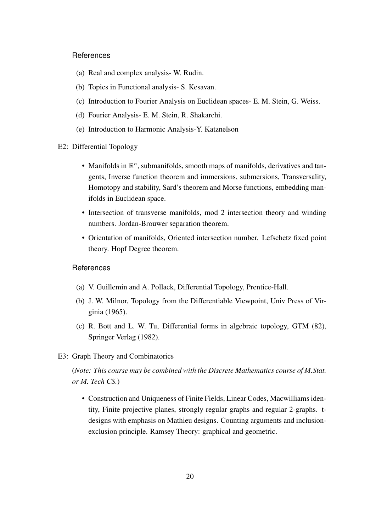- (a) Real and complex analysis- W. Rudin.
- (b) Topics in Functional analysis- S. Kesavan.
- (c) Introduction to Fourier Analysis on Euclidean spaces- E. M. Stein, G. Weiss.
- (d) Fourier Analysis- E. M. Stein, R. Shakarchi.
- <span id="page-23-0"></span>(e) Introduction to Harmonic Analysis-Y. Katznelson
- E2: Differential Topology
	- Manifolds in  $\mathbb{R}^n$ , submanifolds, smooth maps of manifolds, derivatives and tangents, Inverse function theorem and immersions, submersions, Transversality, Homotopy and stability, Sard's theorem and Morse functions, embedding manifolds in Euclidean space.
	- Intersection of transverse manifolds, mod 2 intersection theory and winding numbers. Jordan-Brouwer separation theorem.
	- Orientation of manifolds, Oriented intersection number. Lefschetz fixed point theory. Hopf Degree theorem.

#### **References**

- (a) V. Guillemin and A. Pollack, Differential Topology, Prentice-Hall.
- (b) J. W. Milnor, Topology from the Differentiable Viewpoint, Univ Press of Virginia (1965).
- <span id="page-23-1"></span>(c) R. Bott and L. W. Tu, Differential forms in algebraic topology, GTM (82), Springer Verlag (1982).
- E3: Graph Theory and Combinatorics

(*Note: This course may be combined with the Discrete Mathematics course of M.Stat. or M. Tech CS.*)

• Construction and Uniqueness of Finite Fields, Linear Codes, Macwilliams identity, Finite projective planes, strongly regular graphs and regular 2-graphs. tdesigns with emphasis on Mathieu designs. Counting arguments and inclusionexclusion principle. Ramsey Theory: graphical and geometric.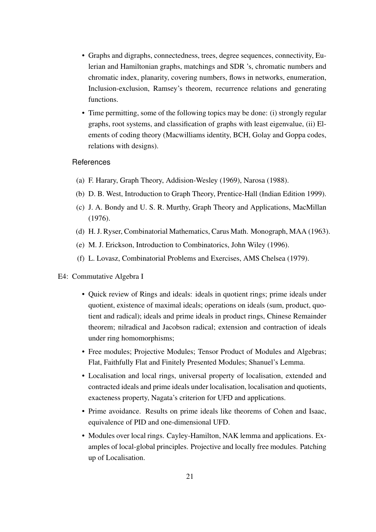- Graphs and digraphs, connectedness, trees, degree sequences, connectivity, Eulerian and Hamiltonian graphs, matchings and SDR 's, chromatic numbers and chromatic index, planarity, covering numbers, flows in networks, enumeration, Inclusion-exclusion, Ramsey's theorem, recurrence relations and generating functions.
- Time permitting, some of the following topics may be done: (i) strongly regular graphs, root systems, and classification of graphs with least eigenvalue, (ii) Elements of coding theory (Macwilliams identity, BCH, Golay and Goppa codes, relations with designs).

- (a) F. Harary, Graph Theory, Addision-Wesley (1969), Narosa (1988).
- (b) D. B. West, Introduction to Graph Theory, Prentice-Hall (Indian Edition 1999).
- (c) J. A. Bondy and U. S. R. Murthy, Graph Theory and Applications, MacMillan (1976).
- (d) H. J. Ryser, Combinatorial Mathematics, Carus Math. Monograph, MAA (1963).
- (e) M. J. Erickson, Introduction to Combinatorics, John Wiley (1996).
- (f) L. Lovasz, Combinatorial Problems and Exercises, AMS Chelsea (1979).
- <span id="page-24-0"></span>E4: Commutative Algebra I
	- Quick review of Rings and ideals: ideals in quotient rings; prime ideals under quotient, existence of maximal ideals; operations on ideals (sum, product, quotient and radical); ideals and prime ideals in product rings, Chinese Remainder theorem; nilradical and Jacobson radical; extension and contraction of ideals under ring homomorphisms;
	- Free modules; Projective Modules; Tensor Product of Modules and Algebras; Flat, Faithfully Flat and Finitely Presented Modules; Shanuel's Lemma.
	- Localisation and local rings, universal property of localisation, extended and contracted ideals and prime ideals under localisation, localisation and quotients, exacteness property, Nagata's criterion for UFD and applications.
	- Prime avoidance. Results on prime ideals like theorems of Cohen and Isaac, equivalence of PID and one-dimensional UFD.
	- Modules over local rings. Cayley-Hamilton, NAK lemma and applications. Examples of local-global principles. Projective and locally free modules. Patching up of Localisation.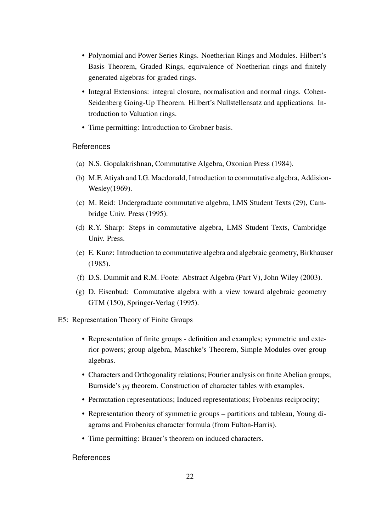- Polynomial and Power Series Rings. Noetherian Rings and Modules. Hilbert's Basis Theorem, Graded Rings, equivalence of Noetherian rings and finitely generated algebras for graded rings.
- Integral Extensions: integral closure, normalisation and normal rings. Cohen-Seidenberg Going-Up Theorem. Hilbert's Nullstellensatz and applications. Introduction to Valuation rings.
- Time permitting: Introduction to Grobner basis.

- (a) N.S. Gopalakrishnan, Commutative Algebra, Oxonian Press (1984).
- (b) M.F. Atiyah and I.G. Macdonald, Introduction to commutative algebra, Addision-Wesley(1969).
- (c) M. Reid: Undergraduate commutative algebra, LMS Student Texts (29), Cambridge Univ. Press (1995).
- (d) R.Y. Sharp: Steps in commutative algebra, LMS Student Texts, Cambridge Univ. Press.
- (e) E. Kunz: Introduction to commutative algebra and algebraic geometry, Birkhauser (1985).
- (f) D.S. Dummit and R.M. Foote: Abstract Algebra (Part V), John Wiley (2003).
- <span id="page-25-0"></span>(g) D. Eisenbud: Commutative algebra with a view toward algebraic geometry GTM (150), Springer-Verlag (1995).
- E5: Representation Theory of Finite Groups
	- Representation of finite groups definition and examples; symmetric and exterior powers; group algebra, Maschke's Theorem, Simple Modules over group algebras.
	- Characters and Orthogonality relations; Fourier analysis on finite Abelian groups; Burnside's pq theorem. Construction of character tables with examples.
	- Permutation representations; Induced representations; Frobenius reciprocity;
	- Representation theory of symmetric groups partitions and tableau, Young diagrams and Frobenius character formula (from Fulton-Harris).
	- Time permitting: Brauer's theorem on induced characters.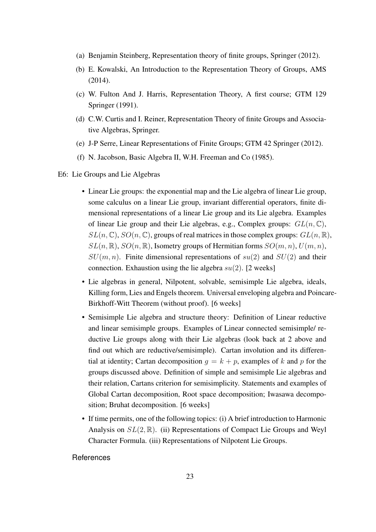- (a) Benjamin Steinberg, Representation theory of finite groups, Springer (2012).
- (b) E. Kowalski, An Introduction to the Representation Theory of Groups, AMS (2014).
- (c) W. Fulton And J. Harris, Representation Theory, A first course; GTM 129 Springer (1991).
- (d) C.W. Curtis and I. Reiner, Representation Theory of finite Groups and Associative Algebras, Springer.
- (e) J-P Serre, Linear Representations of Finite Groups; GTM 42 Springer (2012).
- (f) N. Jacobson, Basic Algebra II, W.H. Freeman and Co (1985).
- <span id="page-26-0"></span>E6: Lie Groups and Lie Algebras
	- Linear Lie groups: the exponential map and the Lie algebra of linear Lie group, some calculus on a linear Lie group, invariant differential operators, finite dimensional representations of a linear Lie group and its Lie algebra. Examples of linear Lie group and their Lie algebras, e.g., Complex groups:  $GL(n, \mathbb{C})$ ,  $SL(n, \mathbb{C}), SO(n, \mathbb{C})$ , groups of real matrices in those complex groups:  $GL(n, \mathbb{R}),$  $SL(n, \mathbb{R})$ ,  $SO(n, \mathbb{R})$ , Isometry groups of Hermitian forms  $SO(m, n)$ ,  $U(m, n)$ ,  $SU(m, n)$ . Finite dimensional representations of  $su(2)$  and  $SU(2)$  and their connection. Exhaustion using the lie algebra  $su(2)$ . [2 weeks]
	- Lie algebras in general, Nilpotent, solvable, semisimple Lie algebra, ideals, Killing form, Lies and Engels theorem. Universal enveloping algebra and Poincare-Birkhoff-Witt Theorem (without proof). [6 weeks]
	- Semisimple Lie algebra and structure theory: Definition of Linear reductive and linear semisimple groups. Examples of Linear connected semisimple/ reductive Lie groups along with their Lie algebras (look back at 2 above and find out which are reductive/semisimple). Cartan involution and its differential at identity; Cartan decomposition  $q = k + p$ , examples of k and p for the groups discussed above. Definition of simple and semisimple Lie algebras and their relation, Cartans criterion for semisimplicity. Statements and examples of Global Cartan decomposition, Root space decomposition; Iwasawa decomposition; Bruhat decomposition. [6 weeks]
	- If time permits, one of the following topics: (i) A brief introduction to Harmonic Analysis on  $SL(2,\mathbb{R})$ . (ii) Representations of Compact Lie Groups and Weyl Character Formula. (iii) Representations of Nilpotent Lie Groups.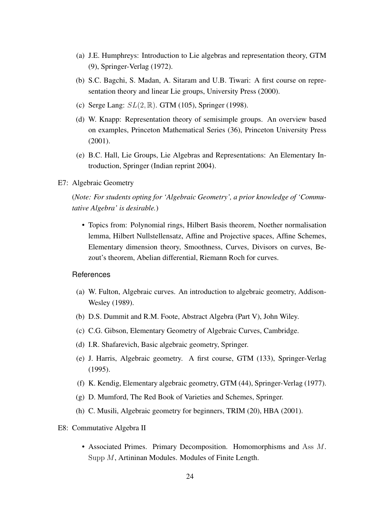- (a) J.E. Humphreys: Introduction to Lie algebras and representation theory, GTM (9), Springer-Verlag (1972).
- (b) S.C. Bagchi, S. Madan, A. Sitaram and U.B. Tiwari: A first course on representation theory and linear Lie groups, University Press (2000).
- (c) Serge Lang:  $SL(2, \mathbb{R})$ . GTM (105), Springer (1998).
- (d) W. Knapp: Representation theory of semisimple groups. An overview based on examples, Princeton Mathematical Series (36), Princeton University Press (2001).
- <span id="page-27-0"></span>(e) B.C. Hall, Lie Groups, Lie Algebras and Representations: An Elementary Introduction, Springer (Indian reprint 2004).
- E7: Algebraic Geometry

(*Note: For students opting for 'Algebraic Geometry', a prior knowledge of 'Commutative Algebra' is desirable.*)

• Topics from: Polynomial rings, Hilbert Basis theorem, Noether normalisation lemma, Hilbert Nullstellensatz, Affine and Projective spaces, Affine Schemes, Elementary dimension theory, Smoothness, Curves, Divisors on curves, Bezout's theorem, Abelian differential, Riemann Roch for curves.

# References

- (a) W. Fulton, Algebraic curves. An introduction to algebraic geometry, Addison-Wesley (1989).
- (b) D.S. Dummit and R.M. Foote, Abstract Algebra (Part V), John Wiley.
- (c) C.G. Gibson, Elementary Geometry of Algebraic Curves, Cambridge.
- (d) I.R. Shafarevich, Basic algebraic geometry, Springer.
- (e) J. Harris, Algebraic geometry. A first course, GTM (133), Springer-Verlag (1995).
- (f) K. Kendig, Elementary algebraic geometry, GTM (44), Springer-Verlag (1977).
- (g) D. Mumford, The Red Book of Varieties and Schemes, Springer.
- <span id="page-27-1"></span>(h) C. Musili, Algebraic geometry for beginners, TRIM (20), HBA (2001).

#### E8: Commutative Algebra II

• Associated Primes. Primary Decomposition. Homomorphisms and Ass M. Supp M, Artininan Modules. Modules of Finite Length.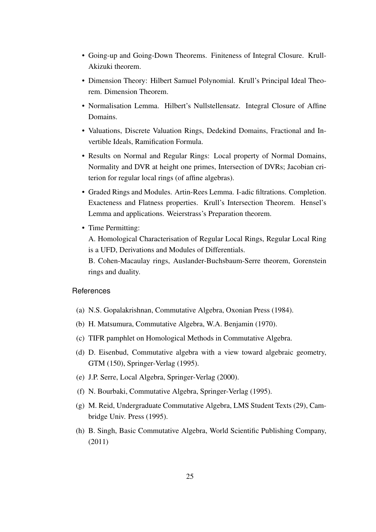- Going-up and Going-Down Theorems. Finiteness of Integral Closure. Krull-Akizuki theorem.
- Dimension Theory: Hilbert Samuel Polynomial. Krull's Principal Ideal Theorem. Dimension Theorem.
- Normalisation Lemma. Hilbert's Nullstellensatz. Integral Closure of Affine Domains.
- Valuations, Discrete Valuation Rings, Dedekind Domains, Fractional and Invertible Ideals, Ramification Formula.
- Results on Normal and Regular Rings: Local property of Normal Domains, Normality and DVR at height one primes, Intersection of DVRs; Jacobian criterion for regular local rings (of affine algebras).
- Graded Rings and Modules. Artin-Rees Lemma. I-adic filtrations. Completion. Exacteness and Flatness properties. Krull's Intersection Theorem. Hensel's Lemma and applications. Weierstrass's Preparation theorem.
- Time Permitting:

A. Homological Characterisation of Regular Local Rings, Regular Local Ring is a UFD, Derivations and Modules of Differentials.

B. Cohen-Macaulay rings, Auslander-Buchsbaum-Serre theorem, Gorenstein rings and duality.

- (a) N.S. Gopalakrishnan, Commutative Algebra, Oxonian Press (1984).
- (b) H. Matsumura, Commutative Algebra, W.A. Benjamin (1970).
- (c) TIFR pamphlet on Homological Methods in Commutative Algebra.
- (d) D. Eisenbud, Commutative algebra with a view toward algebraic geometry, GTM (150), Springer-Verlag (1995).
- (e) J.P. Serre, Local Algebra, Springer-Verlag (2000).
- (f) N. Bourbaki, Commutative Algebra, Springer-Verlag (1995).
- (g) M. Reid, Undergraduate Commutative Algebra, LMS Student Texts (29), Cambridge Univ. Press (1995).
- <span id="page-28-0"></span>(h) B. Singh, Basic Commutative Algebra, World Scientific Publishing Company, (2011)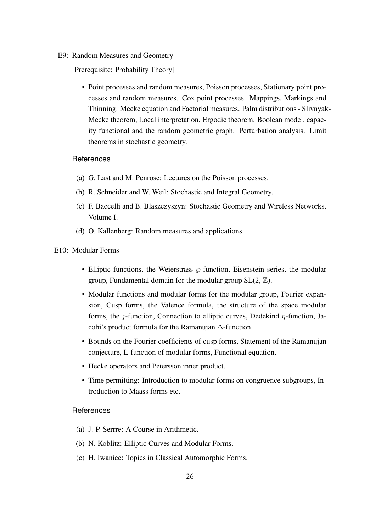#### E9: Random Measures and Geometry

[Prerequisite: Probability Theory]

• Point processes and random measures, Poisson processes, Stationary point processes and random measures. Cox point processes. Mappings, Markings and Thinning. Mecke equation and Factorial measures. Palm distributions - Slivnyak-Mecke theorem, Local interpretation. Ergodic theorem. Boolean model, capacity functional and the random geometric graph. Perturbation analysis. Limit theorems in stochastic geometry.

# References

- (a) G. Last and M. Penrose: Lectures on the Poisson processes.
- (b) R. Schneider and W. Weil: Stochastic and Integral Geometry.
- (c) F. Baccelli and B. Blaszczyszyn: Stochastic Geometry and Wireless Networks. Volume I.
- <span id="page-29-0"></span>(d) O. Kallenberg: Random measures and applications.

#### E10: Modular Forms

- Elliptic functions, the Weierstrass  $\wp$ -function, Eisenstein series, the modular group, Fundamental domain for the modular group  $SL(2, \mathbb{Z})$ .
- Modular functions and modular forms for the modular group, Fourier expansion, Cusp forms, the Valence formula, the structure of the space modular forms, the *j*-function, Connection to elliptic curves, Dedekind  $\eta$ -function, Jacobi's product formula for the Ramanujan ∆-function.
- Bounds on the Fourier coefficients of cusp forms, Statement of the Ramanujan conjecture, L-function of modular forms, Functional equation.
- Hecke operators and Petersson inner product.
- Time permitting: Introduction to modular forms on congruence subgroups, Introduction to Maass forms etc.

- (a) J.-P. Serrre: A Course in Arithmetic.
- (b) N. Koblitz: Elliptic Curves and Modular Forms.
- <span id="page-29-1"></span>(c) H. Iwaniec: Topics in Classical Automorphic Forms.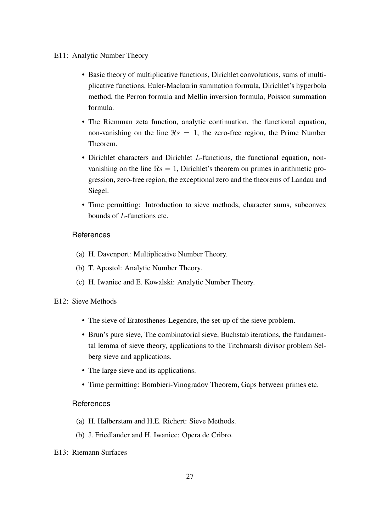#### E11: Analytic Number Theory

- Basic theory of multiplicative functions, Dirichlet convolutions, sums of multiplicative functions, Euler-Maclaurin summation formula, Dirichlet's hyperbola method, the Perron formula and Mellin inversion formula, Poisson summation formula.
- The Riemman zeta function, analytic continuation, the functional equation, non-vanishing on the line  $\Re s = 1$ , the zero-free region, the Prime Number Theorem.
- Dirichlet characters and Dirichlet L-functions, the functional equation, nonvanishing on the line  $\Re s = 1$ , Dirichlet's theorem on primes in arithmetic progression, zero-free region, the exceptional zero and the theorems of Landau and Siegel.
- Time permitting: Introduction to sieve methods, character sums, subconvex bounds of L-functions etc.

# References

- (a) H. Davenport: Multiplicative Number Theory.
- (b) T. Apostol: Analytic Number Theory.
- <span id="page-30-0"></span>(c) H. Iwaniec and E. Kowalski: Analytic Number Theory.

# E12: Sieve Methods

- The sieve of Eratosthenes-Legendre, the set-up of the sieve problem.
- Brun's pure sieve, The combinatorial sieve, Buchstab iterations, the fundamental lemma of sieve theory, applications to the Titchmarsh divisor problem Selberg sieve and applications.
- The large sieve and its applications.
- Time permitting: Bombieri-Vinogradov Theorem, Gaps between primes etc.

- (a) H. Halberstam and H.E. Richert: Sieve Methods.
- (b) J. Friedlander and H. Iwaniec: Opera de Cribro.
- <span id="page-30-1"></span>E13: Riemann Surfaces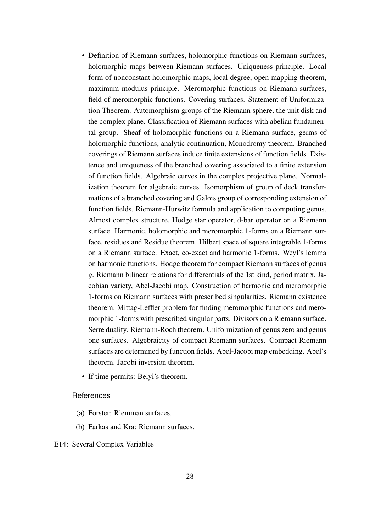- Definition of Riemann surfaces, holomorphic functions on Riemann surfaces, holomorphic maps between Riemann surfaces. Uniqueness principle. Local form of nonconstant holomorphic maps, local degree, open mapping theorem, maximum modulus principle. Meromorphic functions on Riemann surfaces, field of meromorphic functions. Covering surfaces. Statement of Uniformization Theorem. Automorphism groups of the Riemann sphere, the unit disk and the complex plane. Classification of Riemann surfaces with abelian fundamental group. Sheaf of holomorphic functions on a Riemann surface, germs of holomorphic functions, analytic continuation, Monodromy theorem. Branched coverings of Riemann surfaces induce finite extensions of function fields. Existence and uniqueness of the branched covering associated to a finite extension of function fields. Algebraic curves in the complex projective plane. Normalization theorem for algebraic curves. Isomorphism of group of deck transformations of a branched covering and Galois group of corresponding extension of function fields. Riemann-Hurwitz formula and application to computing genus. Almost complex structure, Hodge star operator, d-bar operator on a Riemann surface. Harmonic, holomorphic and meromorphic 1-forms on a Riemann surface, residues and Residue theorem. Hilbert space of square integrable 1-forms on a Riemann surface. Exact, co-exact and harmonic 1-forms. Weyl's lemma on harmonic functions. Hodge theorem for compact Riemann surfaces of genus g. Riemann bilinear relations for differentials of the 1st kind, period matrix, Jacobian variety, Abel-Jacobi map. Construction of harmonic and meromorphic 1-forms on Riemann surfaces with prescribed singularities. Riemann existence theorem. Mittag-Leffler problem for finding meromorphic functions and meromorphic 1-forms with prescribed singular parts. Divisors on a Riemann surface. Serre duality. Riemann-Roch theorem. Uniformization of genus zero and genus one surfaces. Algebraicity of compact Riemann surfaces. Compact Riemann surfaces are determined by function fields. Abel-Jacobi map embedding. Abel's theorem. Jacobi inversion theorem.
- If time permits: Belyi's theorem.

- (a) Forster: Riemman surfaces.
- <span id="page-31-0"></span>(b) Farkas and Kra: Riemann surfaces.

#### E14: Several Complex Variables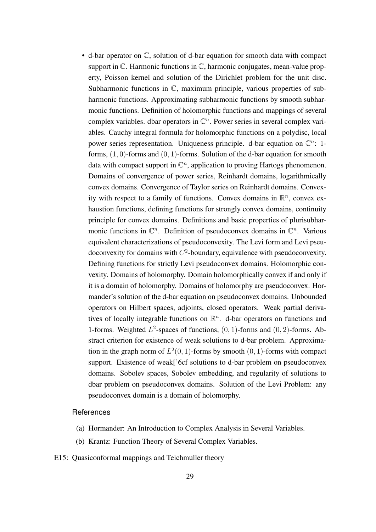• d-bar operator on C, solution of d-bar equation for smooth data with compact support in  $\mathbb C$ . Harmonic functions in  $\mathbb C$ , harmonic conjugates, mean-value property, Poisson kernel and solution of the Dirichlet problem for the unit disc. Subharmonic functions in C, maximum principle, various properties of subharmonic functions. Approximating subharmonic functions by smooth subharmonic functions. Definition of holomorphic functions and mappings of several complex variables. dbar operators in  $\mathbb{C}^n$ . Power series in several complex variables. Cauchy integral formula for holomorphic functions on a polydisc, local power series representation. Uniqueness principle. d-bar equation on  $\mathbb{C}^n$ : 1forms,  $(1, 0)$ -forms and  $(0, 1)$ -forms. Solution of the d-bar equation for smooth data with compact support in  $\mathbb{C}^n$ , application to proving Hartogs phenomenon. Domains of convergence of power series, Reinhardt domains, logarithmically convex domains. Convergence of Taylor series on Reinhardt domains. Convexity with respect to a family of functions. Convex domains in  $\mathbb{R}^n$ , convex exhaustion functions, defining functions for strongly convex domains, continuity principle for convex domains. Definitions and basic properties of plurisubharmonic functions in  $\mathbb{C}^n$ . Definition of pseudoconvex domains in  $\mathbb{C}^n$ . Various equivalent characterizations of pseudoconvexity. The Levi form and Levi pseudoconvexity for domains with  $C^2$ -boundary, equivalence with pseudoconvexity. Defining functions for strictly Levi pseudoconvex domains. Holomorphic convexity. Domains of holomorphy. Domain holomorphically convex if and only if it is a domain of holomorphy. Domains of holomorphy are pseudoconvex. Hormander's solution of the d-bar equation on pseudoconvex domains. Unbounded operators on Hilbert spaces, adjoints, closed operators. Weak partial derivatives of locally integrable functions on  $\mathbb{R}^n$ . d-bar operators on functions and 1-forms. Weighted  $L^2$ -spaces of functions,  $(0, 1)$ -forms and  $(0, 2)$ -forms. Abstract criterion for existence of weak solutions to d-bar problem. Approximation in the graph norm of  $L^2(0,1)$ -forms by smooth  $(0,1)$ -forms with compact support. Existence of weak['6cf solutions to d-bar problem on pseudoconvex domains. Sobolev spaces, Sobolev embedding, and regularity of solutions to dbar problem on pseudoconvex domains. Solution of the Levi Problem: any pseudoconvex domain is a domain of holomorphy.

- (a) Hormander: An Introduction to Complex Analysis in Several Variables.
- (b) Krantz: Function Theory of Several Complex Variables.
- <span id="page-32-0"></span>E15: Quasiconformal mappings and Teichmuller theory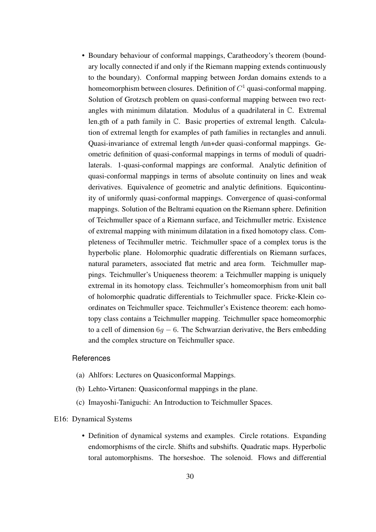• Boundary behaviour of conformal mappings, Caratheodory's theorem (boundary locally connected if and only if the Riemann mapping extends continuously to the boundary). Conformal mapping between Jordan domains extends to a homeomorphism between closures. Definition of  $C<sup>1</sup>$  quasi-conformal mapping. Solution of Grotzsch problem on quasi-conformal mapping between two rectangles with minimum dilatation. Modulus of a quadrilateral in C. Extremal len.gth of a path family in C. Basic properties of extremal length. Calculation of extremal length for examples of path families in rectangles and annuli. Quasi-invariance of extremal length /un+der quasi-conformal mappings. Geometric definition of quasi-conformal mappings in terms of moduli of quadrilaterals. 1-quasi-conformal mappings are conformal. Analytic definition of quasi-conformal mappings in terms of absolute continuity on lines and weak derivatives. Equivalence of geometric and analytic definitions. Equicontinuity of uniformly quasi-conformal mappings. Convergence of quasi-conformal mappings. Solution of the Beltrami equation on the Riemann sphere. Definition of Teichmuller space of a Riemann surface, and Teichmuller metric. Existence of extremal mapping with minimum dilatation in a fixed homotopy class. Completeness of Tecihmuller metric. Teichmuller space of a complex torus is the hyperbolic plane. Holomorphic quadratic differentials on Riemann surfaces, natural parameters, associated flat metric and area form. Teichmuller mappings. Teichmuller's Uniqueness theorem: a Teichmuller mapping is uniquely extremal in its homotopy class. Teichmuller's homeomorphism from unit ball of holomorphic quadratic differentials to Teichmuller space. Fricke-Klein coordinates on Teichmuller space. Teichmuller's Existence theorem: each homotopy class contains a Teichmuller mapping. Teichmuller space homeomorphic to a cell of dimension  $6q - 6$ . The Schwarzian derivative, the Bers embedding and the complex structure on Teichmuller space.

# References

- (a) Ahlfors: Lectures on Quasiconformal Mappings.
- (b) Lehto-Virtanen: Quasiconformal mappings in the plane.
- (c) Imayoshi-Taniguchi: An Introduction to Teichmuller Spaces.

# <span id="page-33-0"></span>E16: Dynamical Systems

• Definition of dynamical systems and examples. Circle rotations. Expanding endomorphisms of the circle. Shifts and subshifts. Quadratic maps. Hyperbolic toral automorphisms. The horseshoe. The solenoid. Flows and differential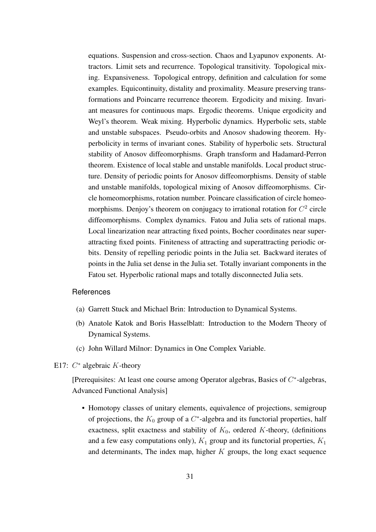equations. Suspension and cross-section. Chaos and Lyapunov exponents. Attractors. Limit sets and recurrence. Topological transitivity. Topological mixing. Expansiveness. Topological entropy, definition and calculation for some examples. Equicontinuity, distality and proximality. Measure preserving transformations and Poincarre recurrence theorem. Ergodicity and mixing. Invariant measures for continuous maps. Ergodic theorems. Unique ergodicity and Weyl's theorem. Weak mixing. Hyperbolic dynamics. Hyperbolic sets, stable and unstable subspaces. Pseudo-orbits and Anosov shadowing theorem. Hyperbolicity in terms of invariant cones. Stability of hyperbolic sets. Structural stability of Anosov diffeomorphisms. Graph transform and Hadamard-Perron theorem. Existence of local stable and unstable manifolds. Local product structure. Density of periodic points for Anosov diffeomorphisms. Density of stable and unstable manifolds, topological mixing of Anosov diffeomorphisms. Circle homeomorphisms, rotation number. Poincare classification of circle homeomorphisms. Denjoy's theorem on conjugacy to irrational rotation for  $C^2$  circle diffeomorphisms. Complex dynamics. Fatou and Julia sets of rational maps. Local linearization near attracting fixed points, Bocher coordinates near superattracting fixed points. Finiteness of attracting and superattracting periodic orbits. Density of repelling periodic points in the Julia set. Backward iterates of points in the Julia set dense in the Julia set. Totally invariant components in the Fatou set. Hyperbolic rational maps and totally disconnected Julia sets.

#### **References**

- (a) Garrett Stuck and Michael Brin: Introduction to Dynamical Systems.
- (b) Anatole Katok and Boris Hasselblatt: Introduction to the Modern Theory of Dynamical Systems.
- (c) John Willard Milnor: Dynamics in One Complex Variable.
- <span id="page-34-0"></span>E17:  $C^*$  algebraic K-theory

[Prerequisites: At least one course among Operator algebras, Basics of  $C^*$ -algebras, Advanced Functional Analysis]

• Homotopy classes of unitary elements, equivalence of projections, semigroup of projections, the  $K_0$  group of a  $C^*$ -algebra and its functorial properties, half exactness, split exactness and stability of  $K_0$ , ordered K-theory, (definitions and a few easy computations only),  $K_1$  group and its functorial properties,  $K_1$ and determinants, The index map, higher  $K$  groups, the long exact sequence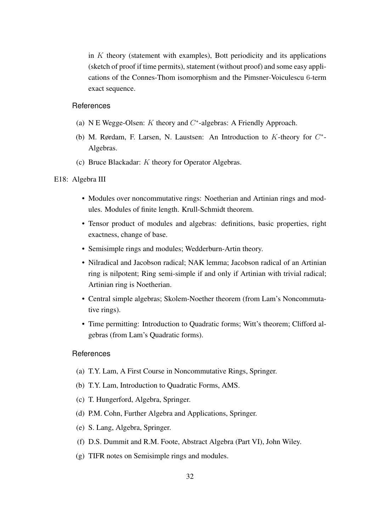in  $K$  theory (statement with examples), Bott periodicity and its applications (sketch of proof if time permits), statement (without proof) and some easy applications of the Connes-Thom isomorphism and the Pimsner-Voiculescu 6-term exact sequence.

# **References**

- (a) N E Wegge-Olsen:  $K$  theory and  $C^*$ -algebras: A Friendly Approach.
- (b) M. Rørdam, F. Larsen, N. Laustsen: An Introduction to  $K$ -theory for  $C^*$ -Algebras.
- (c) Bruce Blackadar: K theory for Operator Algebras.

# <span id="page-35-0"></span>E18: Algebra III

- Modules over noncommutative rings: Noetherian and Artinian rings and modules. Modules of finite length. Krull-Schmidt theorem.
- Tensor product of modules and algebras: definitions, basic properties, right exactness, change of base.
- Semisimple rings and modules; Wedderburn-Artin theory.
- Nilradical and Jacobson radical; NAK lemma; Jacobson radical of an Artinian ring is nilpotent; Ring semi-simple if and only if Artinian with trivial radical; Artinian ring is Noetherian.
- Central simple algebras; Skolem-Noether theorem (from Lam's Noncommutative rings).
- Time permitting: Introduction to Quadratic forms; Witt's theorem; Clifford algebras (from Lam's Quadratic forms).

- (a) T.Y. Lam, A First Course in Noncommutative Rings, Springer.
- (b) T.Y. Lam, Introduction to Quadratic Forms, AMS.
- (c) T. Hungerford, Algebra, Springer.
- (d) P.M. Cohn, Further Algebra and Applications, Springer.
- (e) S. Lang, Algebra, Springer.
- (f) D.S. Dummit and R.M. Foote, Abstract Algebra (Part VI), John Wiley.
- (g) TIFR notes on Semisimple rings and modules.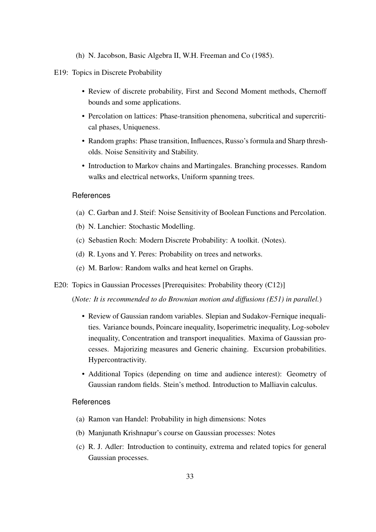(h) N. Jacobson, Basic Algebra II, W.H. Freeman and Co (1985).

#### <span id="page-36-0"></span>E19: Topics in Discrete Probability

- Review of discrete probability, First and Second Moment methods, Chernoff bounds and some applications.
- Percolation on lattices: Phase-transition phenomena, subcritical and supercritical phases, Uniqueness.
- Random graphs: Phase transition, Influences, Russo's formula and Sharp thresholds. Noise Sensitivity and Stability.
- Introduction to Markov chains and Martingales. Branching processes. Random walks and electrical networks, Uniform spanning trees.

#### **References**

- (a) C. Garban and J. Steif: Noise Sensitivity of Boolean Functions and Percolation.
- (b) N. Lanchier: Stochastic Modelling.
- (c) Sebastien Roch: Modern Discrete Probability: A toolkit. (Notes).
- (d) R. Lyons and Y. Peres: Probability on trees and networks.
- (e) M. Barlow: Random walks and heat kernel on Graphs.
- <span id="page-36-1"></span>E20: Topics in Gaussian Processes [Prerequisites: Probability theory (C12)]

(*Note: It is recommended to do Brownian motion and diffusions (E51) in parallel.*)

- Review of Gaussian random variables. Slepian and Sudakov-Fernique inequalities. Variance bounds, Poincare inequality, Isoperimetric inequality, Log-sobolev inequality, Concentration and transport inequalities. Maxima of Gaussian processes. Majorizing measures and Generic chaining. Excursion probabilities. Hypercontractivity.
- Additional Topics (depending on time and audience interest): Geometry of Gaussian random fields. Stein's method. Introduction to Malliavin calculus.

- (a) Ramon van Handel: Probability in high dimensions: Notes
- (b) Manjunath Krishnapur's course on Gaussian processes: Notes
- (c) R. J. Adler: Introduction to continuity, extrema and related topics for general Gaussian processes.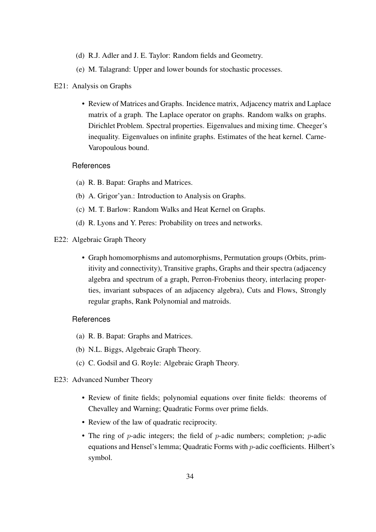- (d) R.J. Adler and J. E. Taylor: Random fields and Geometry.
- (e) M. Talagrand: Upper and lower bounds for stochastic processes.

### <span id="page-37-0"></span>E21: Analysis on Graphs

• Review of Matrices and Graphs. Incidence matrix, Adjacency matrix and Laplace matrix of a graph. The Laplace operator on graphs. Random walks on graphs. Dirichlet Problem. Spectral properties. Eigenvalues and mixing time. Cheeger's inequality. Eigenvalues on infinite graphs. Estimates of the heat kernel. Carne-Varopoulous bound.

# **References**

- (a) R. B. Bapat: Graphs and Matrices.
- (b) A. Grigor'yan.: Introduction to Analysis on Graphs.
- (c) M. T. Barlow: Random Walks and Heat Kernel on Graphs.
- (d) R. Lyons and Y. Peres: Probability on trees and networks.

# <span id="page-37-1"></span>E22: Algebraic Graph Theory

• Graph homomorphisms and automorphisms, Permutation groups (Orbits, primitivity and connectivity), Transitive graphs, Graphs and their spectra (adjacency algebra and spectrum of a graph, Perron-Frobenius theory, interlacing properties, invariant subspaces of an adjacency algebra), Cuts and Flows, Strongly regular graphs, Rank Polynomial and matroids.

- (a) R. B. Bapat: Graphs and Matrices.
- (b) N.L. Biggs, Algebraic Graph Theory.
- (c) C. Godsil and G. Royle: Algebraic Graph Theory.
- <span id="page-37-2"></span>E23: Advanced Number Theory
	- Review of finite fields; polynomial equations over finite fields: theorems of Chevalley and Warning; Quadratic Forms over prime fields.
	- Review of the law of quadratic reciprocity.
	- The ring of  $p$ -adic integers; the field of  $p$ -adic numbers; completion;  $p$ -adic equations and Hensel's lemma; Quadratic Forms with p-adic coefficients. Hilbert's symbol.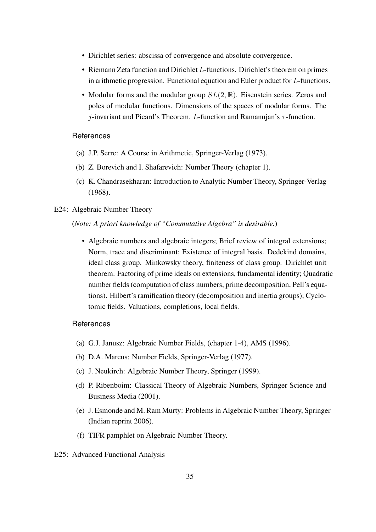- Dirichlet series: abscissa of convergence and absolute convergence.
- Riemann Zeta function and Dirichlet L-functions. Dirichlet's theorem on primes in arithmetic progression. Functional equation and Euler product for L-functions.
- Modular forms and the modular group  $SL(2,\mathbb{R})$ . Eisenstein series. Zeros and poles of modular functions. Dimensions of the spaces of modular forms. The *j*-invariant and Picard's Theorem. L-function and Ramanujan's  $\tau$ -function.

- (a) J.P. Serre: A Course in Arithmetic, Springer-Verlag (1973).
- (b) Z. Borevich and I. Shafarevich: Number Theory (chapter 1).
- <span id="page-38-0"></span>(c) K. Chandrasekharan: Introduction to Analytic Number Theory, Springer-Verlag (1968).

# E24: Algebraic Number Theory

(*Note: A priori knowledge of "Commutative Algebra" is desirable.*)

• Algebraic numbers and algebraic integers; Brief review of integral extensions; Norm, trace and discriminant; Existence of integral basis. Dedekind domains, ideal class group. Minkowsky theory, finiteness of class group. Dirichlet unit theorem. Factoring of prime ideals on extensions, fundamental identity; Quadratic number fields (computation of class numbers, prime decomposition, Pell's equations). Hilbert's ramification theory (decomposition and inertia groups); Cyclotomic fields. Valuations, completions, local fields.

- (a) G.J. Janusz: Algebraic Number Fields, (chapter 1-4), AMS (1996).
- (b) D.A. Marcus: Number Fields, Springer-Verlag (1977).
- (c) J. Neukirch: Algebraic Number Theory, Springer (1999).
- (d) P. Ribenboim: Classical Theory of Algebraic Numbers, Springer Science and Business Media (2001).
- (e) J. Esmonde and M. Ram Murty: Problems in Algebraic Number Theory, Springer (Indian reprint 2006).
- <span id="page-38-1"></span>(f) TIFR pamphlet on Algebraic Number Theory.
- E25: Advanced Functional Analysis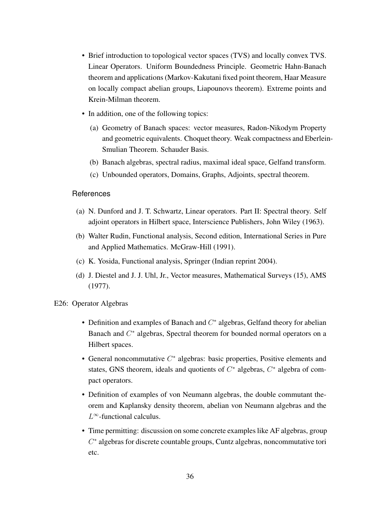- Brief introduction to topological vector spaces (TVS) and locally convex TVS. Linear Operators. Uniform Boundedness Principle. Geometric Hahn-Banach theorem and applications (Markov-Kakutani fixed point theorem, Haar Measure on locally compact abelian groups, Liapounovs theorem). Extreme points and Krein-Milman theorem.
- In addition, one of the following topics:
	- (a) Geometry of Banach spaces: vector measures, Radon-Nikodym Property and geometric equivalents. Choquet theory. Weak compactness and Eberlein-Smulian Theorem. Schauder Basis.
	- (b) Banach algebras, spectral radius, maximal ideal space, Gelfand transform.
	- (c) Unbounded operators, Domains, Graphs, Adjoints, spectral theorem.

- (a) N. Dunford and J. T. Schwartz, Linear operators. Part II: Spectral theory. Self adjoint operators in Hilbert space, Interscience Publishers, John Wiley (1963).
- (b) Walter Rudin, Functional analysis, Second edition, International Series in Pure and Applied Mathematics. McGraw-Hill (1991).
- (c) K. Yosida, Functional analysis, Springer (Indian reprint 2004).
- <span id="page-39-0"></span>(d) J. Diestel and J. J. Uhl, Jr., Vector measures, Mathematical Surveys (15), AMS (1977).

# E26: Operator Algebras

- Definition and examples of Banach and  $C^*$  algebras, Gelfand theory for abelian Banach and  $C^*$  algebras, Spectral theorem for bounded normal operators on a Hilbert spaces.
- General noncommutative  $C^*$  algebras: basic properties, Positive elements and states, GNS theorem, ideals and quotients of  $C^*$  algebras,  $C^*$  algebra of compact operators.
- Definition of examples of von Neumann algebras, the double commutant theorem and Kaplansky density theorem, abelian von Neumann algebras and the  $L^{\infty}$ -functional calculus.
- Time permitting: discussion on some concrete examples like AF algebras, group C ∗ algebras for discrete countable groups, Cuntz algebras, noncommutative tori etc.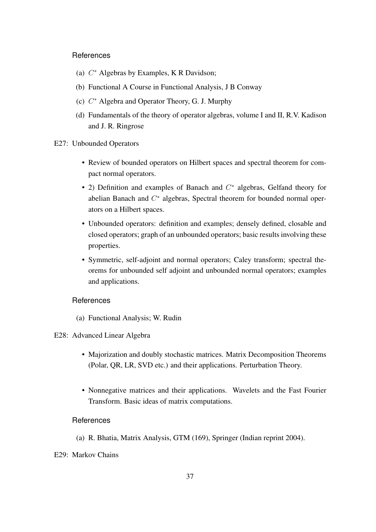- (a)  $C^*$  Algebras by Examples, K R Davidson;
- (b) Functional A Course in Functional Analysis, J B Conway
- (c)  $C^*$  Algebra and Operator Theory, G. J. Murphy
- <span id="page-40-0"></span>(d) Fundamentals of the theory of operator algebras, volume I and II, R.V. Kadison and J. R. Ringrose

#### E27: Unbounded Operators

- Review of bounded operators on Hilbert spaces and spectral theorem for compact normal operators.
- 2) Definition and examples of Banach and  $C^*$  algebras, Gelfand theory for abelian Banach and  $C^*$  algebras, Spectral theorem for bounded normal operators on a Hilbert spaces.
- Unbounded operators: definition and examples; densely defined, closable and closed operators; graph of an unbounded operators; basic results involving these properties.
- Symmetric, self-adjoint and normal operators; Caley transform; spectral theorems for unbounded self adjoint and unbounded normal operators; examples and applications.

# <span id="page-40-1"></span>References

(a) Functional Analysis; W. Rudin

# E28: Advanced Linear Algebra

- Majorization and doubly stochastic matrices. Matrix Decomposition Theorems (Polar, QR, LR, SVD etc.) and their applications. Perturbation Theory.
- Nonnegative matrices and their applications. Wavelets and the Fast Fourier Transform. Basic ideas of matrix computations.

- <span id="page-40-2"></span>(a) R. Bhatia, Matrix Analysis, GTM (169), Springer (Indian reprint 2004).
- E29: Markov Chains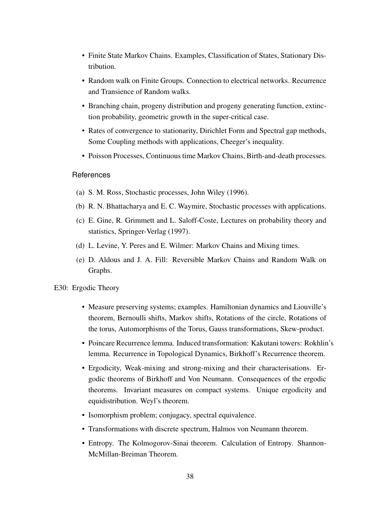- Finite State Markov Chains. Examples, Classification of States, Stationary Distribution.
- Random walk on Finite Groups. Connection to electrical networks. Recurrence and Transience of Random walks.
- Branching chain, progeny distribution and progeny generating function, extinction probability, geometric growth in the super-critical case.
- Rates of convergence to stationarity, Dirichlet Form and Spectral gap methods, Some Coupling methods with applications, Cheeger's inequality.
- Poisson Processes, Continuous time Markov Chains, Birth-and-death processes.

- (a) S. M. Ross, Stochastic processes, John Wiley (1996).
- (b) R. N. Bhattacharya and E. C. Waymire, Stochastic processes with applications.
- (c) E. Gine, R. Grimmett and L. Saloff-Coste, Lectures on probability theory and statistics, Springer-Verlag (1997).
- (d) L. Levine, Y. Peres and E. Wilmer: Markov Chains and Mixing times.
- <span id="page-41-0"></span>(e) D. Aldous and J. A. Fill: Reversible Markov Chains and Random Walk on Graphs.
- E30: Ergodic Theory
	- Measure preserving systems; examples. Hamiltonian dynamics and Liouville's theorem, Bernoulli shifts, Markov shifts, Rotations of the circle, Rotations of the torus, Automorphisms of the Torus, Gauss transformations, Skew-product.
	- Poincare Recurrence lemma. Induced transformation: Kakutani towers: Rokhlin's lemma. Recurrence in Topological Dynamics, Birkhoff's Recurrence theorem.
	- Ergodicity, Weak-mixing and strong-mixing and their characterisations. Ergodic theorems of Birkhoff and Von Neumann. Consequences of the ergodic theorems. Invariant measures on compact systems. Unique ergodicity and equidistribution. Weyl's theorem.
	- Isomorphism problem; conjugacy, spectral equivalence.
	- Transformations with discrete spectrum, Halmos von Neumann theorem.
	- Entropy. The Kolmogorov-Sinai theorem. Calculation of Entropy. Shannon-McMillan-Breiman Theorem.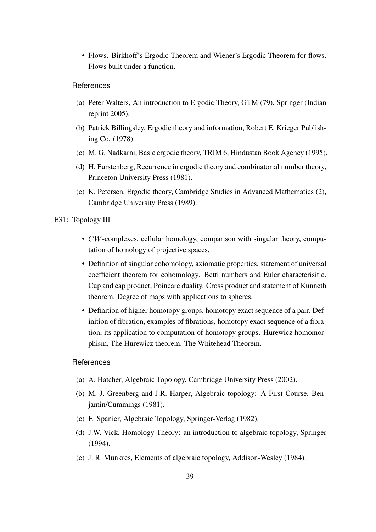• Flows. Birkhoff's Ergodic Theorem and Wiener's Ergodic Theorem for flows. Flows built under a function.

#### References

- (a) Peter Walters, An introduction to Ergodic Theory, GTM (79), Springer (Indian reprint 2005).
- (b) Patrick Billingsley, Ergodic theory and information, Robert E. Krieger Publishing Co. (1978).
- (c) M. G. Nadkarni, Basic ergodic theory, TRIM 6, Hindustan Book Agency (1995).
- (d) H. Furstenberg, Recurrence in ergodic theory and combinatorial number theory, Princeton University Press (1981).
- <span id="page-42-0"></span>(e) K. Petersen, Ergodic theory, Cambridge Studies in Advanced Mathematics (2), Cambridge University Press (1989).
- E31: Topology III
	- *CW*-complexes, cellular homology, comparison with singular theory, computation of homology of projective spaces.
	- Definition of singular cohomology, axiomatic properties, statement of universal coefficient theorem for cohomology. Betti numbers and Euler characterisitic. Cup and cap product, Poincare duality. Cross product and statement of Kunneth theorem. Degree of maps with applications to spheres.
	- Definition of higher homotopy groups, homotopy exact sequence of a pair. Definition of fibration, examples of fibrations, homotopy exact sequence of a fibration, its application to computation of homotopy groups. Hurewicz homomorphism, The Hurewicz theorem. The Whitehead Theorem.

- (a) A. Hatcher, Algebraic Topology, Cambridge University Press (2002).
- (b) M. J. Greenberg and J.R. Harper, Algebraic topology: A First Course, Benjamin/Cummings (1981).
- (c) E. Spanier, Algebraic Topology, Springer-Verlag (1982).
- (d) J.W. Vick, Homology Theory: an introduction to algebraic topology, Springer (1994).
- (e) J. R. Munkres, Elements of algebraic topology, Addison-Wesley (1984).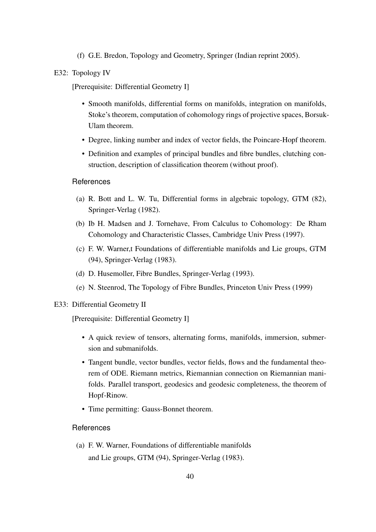(f) G.E. Bredon, Topology and Geometry, Springer (Indian reprint 2005).

#### <span id="page-43-0"></span>E32: Topology IV

[Prerequisite: Differential Geometry I]

- Smooth manifolds, differential forms on manifolds, integration on manifolds, Stoke's theorem, computation of cohomology rings of projective spaces, Borsuk-Ulam theorem.
- Degree, linking number and index of vector fields, the Poincare-Hopf theorem.
- Definition and examples of principal bundles and fibre bundles, clutching construction, description of classification theorem (without proof).

### **References**

- (a) R. Bott and L. W. Tu, Differential forms in algebraic topology, GTM (82), Springer-Verlag (1982).
- (b) Ib H. Madsen and J. Tornehave, From Calculus to Cohomology: De Rham Cohomology and Characteristic Classes, Cambridge Univ Press (1997).
- (c) F. W. Warner,t Foundations of differentiable manifolds and Lie groups, GTM (94), Springer-Verlag (1983).
- (d) D. Husemoller, Fibre Bundles, Springer-Verlag (1993).
- (e) N. Steenrod, The Topology of Fibre Bundles, Princeton Univ Press (1999)

#### <span id="page-43-1"></span>E33: Differential Geometry II

[Prerequisite: Differential Geometry I]

- A quick review of tensors, alternating forms, manifolds, immersion, submersion and submanifolds.
- Tangent bundle, vector bundles, vector fields, flows and the fundamental theorem of ODE. Riemann metrics, Riemannian connection on Riemannian manifolds. Parallel transport, geodesics and geodesic completeness, the theorem of Hopf-Rinow.
- Time permitting: Gauss-Bonnet theorem.

# References

(a) F. W. Warner, Foundations of differentiable manifolds and Lie groups, GTM (94), Springer-Verlag (1983).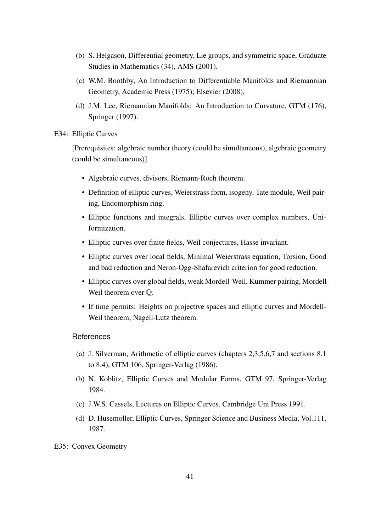- (b) S. Helgason, Differential geometry, Lie groups, and symmetric space, Graduate Studies in Mathematics (34), AMS (2001).
- (c) W.M. Boothby, An Introduction to Differentiable Manifolds and Riemannian Geometry, Academic Press (1975); Elsevier (2008).
- <span id="page-44-0"></span>(d) J.M. Lee, Riemannian Manifolds: An Introduction to Curvature, GTM (176), Springer (1997).

#### E34: Elliptic Curves

[Prerequisites: algebraic number theory (could be simultaneous), algebraic geometry (could be simultaneous)]

- Algebraic curves, divisors, Riemann-Roch theorem.
- Definition of elliptic curves, Weierstrass form, isogeny, Tate module, Weil pairing, Endomorphism ring.
- Elliptic functions and integrals, Elliptic curves over complex numbers, Uniformization.
- Elliptic curves over finite fields, Weil conjectures, Hasse invariant.
- Elliptic curves over local fields, Minimal Weierstrass equation, Torsion, Good and bad reduction and Neron-Ogg-Shafarevich criterion for good reduction.
- Elliptic curves over global fields, weak Mordell-Weil, Kummer pairing, Mordell-Weil theorem over Q.
- If time permits: Heights on projective spaces and elliptic curves and Mordell-Weil theorem; Nagell-Lutz theorem.

- (a) J. Silverman, Arithmetic of elliptic curves (chapters 2,3,5,6,7 and sections 8.1 to 8.4), GTM 106, Springer-Verlag (1986).
- (b) N. Koblitz, Elliptic Curves and Modular Forms, GTM 97, Springer-Verlag 1984.
- (c) J.W.S. Cassels, Lectures on Elliptic Curves, Cambridge Uni Press 1991.
- <span id="page-44-1"></span>(d) D. Husemoller, Elliptic Curves, Springer Science and Business Media, Vol.111, 1987.
- E35: Convex Geometry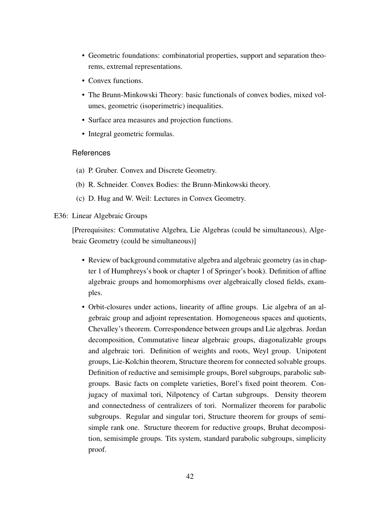- Geometric foundations: combinatorial properties, support and separation theorems, extremal representations.
- Convex functions.
- The Brunn-Minkowski Theory: basic functionals of convex bodies, mixed volumes, geometric (isoperimetric) inequalities.
- Surface area measures and projection functions.
- Integral geometric formulas.

- (a) P. Gruber. Convex and Discrete Geometry.
- (b) R. Schneider. Convex Bodies: the Brunn-Minkowski theory.
- (c) D. Hug and W. Weil: Lectures in Convex Geometry.

#### <span id="page-45-0"></span>E36: Linear Algebraic Groups

[Prerequisites: Commutative Algebra, Lie Algebras (could be simultaneous), Algebraic Geometry (could be simultaneous)]

- Review of background commutative algebra and algebraic geometry (as in chapter 1 of Humphreys's book or chapter 1 of Springer's book). Definition of affine algebraic groups and homomorphisms over algebraically closed fields, examples.
- Orbit-closures under actions, linearity of affine groups. Lie algebra of an algebraic group and adjoint representation. Homogeneous spaces and quotients, Chevalley's theorem. Correspondence between groups and Lie algebras. Jordan decomposition, Commutative linear algebraic groups, diagonalizable groups and algebraic tori. Definition of weights and roots, Weyl group. Unipotent groups, Lie-Kolchin theorem, Structure theorem for connected solvable groups. Definition of reductive and semisimple groups, Borel subgroups, parabolic subgroups. Basic facts on complete varieties, Borel's fixed point theorem. Conjugacy of maximal tori, Nilpotency of Cartan subgroups. Density theorem and connectedness of centralizers of tori. Normalizer theorem for parabolic subgroups. Regular and singular tori, Structure theorem for groups of semisimple rank one. Structure theorem for reductive groups, Bruhat decomposition, semisimple groups. Tits system, standard parabolic subgroups, simplicity proof.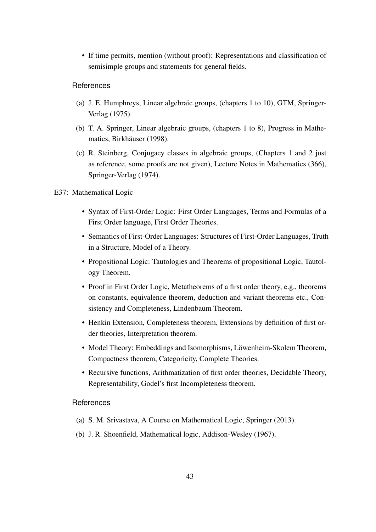• If time permits, mention (without proof): Representations and classification of semisimple groups and statements for general fields.

#### References

- (a) J. E. Humphreys, Linear algebraic groups, (chapters 1 to 10), GTM, Springer-Verlag (1975).
- (b) T. A. Springer, Linear algebraic groups, (chapters 1 to 8), Progress in Mathematics, Birkhäuser (1998).
- <span id="page-46-0"></span>(c) R. Steinberg, Conjugacy classes in algebraic groups, (Chapters 1 and 2 just as reference, some proofs are not given), Lecture Notes in Mathematics (366), Springer-Verlag (1974).

#### E37: Mathematical Logic

- Syntax of First-Order Logic: First Order Languages, Terms and Formulas of a First Order language, First Order Theories.
- Semantics of First-Order Languages: Structures of First-Order Languages, Truth in a Structure, Model of a Theory.
- Propositional Logic: Tautologies and Theorems of propositional Logic, Tautology Theorem.
- Proof in First Order Logic, Metatheorems of a first order theory, e.g., theorems on constants, equivalence theorem, deduction and variant theorems etc., Consistency and Completeness, Lindenbaum Theorem.
- Henkin Extension, Completeness theorem, Extensions by definition of first order theories, Interpretation theorem.
- Model Theory: Embeddings and Isomorphisms, Löwenheim-Skolem Theorem, Compactness theorem, Categoricity, Complete Theories.
- Recursive functions, Arithmatization of first order theories, Decidable Theory, Representability, Godel's first Incompleteness theorem.

- (a) S. M. Srivastava, A Course on Mathematical Logic, Springer (2013).
- <span id="page-46-1"></span>(b) J. R. Shoenfield, Mathematical logic, Addison-Wesley (1967).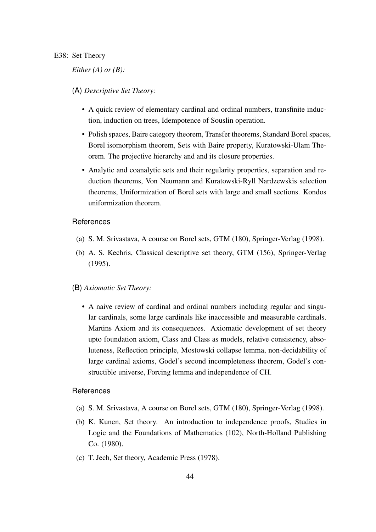#### E38: Set Theory

# *Either (A) or (B):*

# (A) *Descriptive Set Theory:*

- A quick review of elementary cardinal and ordinal numbers, transfinite induction, induction on trees, Idempotence of Souslin operation.
- Polish spaces, Baire category theorem, Transfer theorems, Standard Borel spaces, Borel isomorphism theorem, Sets with Baire property, Kuratowski-Ulam Theorem. The projective hierarchy and and its closure properties.
- Analytic and coanalytic sets and their regularity properties, separation and reduction theorems, Von Neumann and Kuratowski-Ryll Nardzewskis selection theorems, Uniformization of Borel sets with large and small sections. Kondos uniformization theorem.

#### References

- (a) S. M. Srivastava, A course on Borel sets, GTM (180), Springer-Verlag (1998).
- (b) A. S. Kechris, Classical descriptive set theory, GTM (156), Springer-Verlag (1995).
- (B) *Axiomatic Set Theory:*
	- A naive review of cardinal and ordinal numbers including regular and singular cardinals, some large cardinals like inaccessible and measurable cardinals. Martins Axiom and its consequences. Axiomatic development of set theory upto foundation axiom, Class and Class as models, relative consistency, absoluteness, Reflection principle, Mostowski collapse lemma, non-decidability of large cardinal axioms, Godel's second incompleteness theorem, Godel's constructible universe, Forcing lemma and independence of CH.

- (a) S. M. Srivastava, A course on Borel sets, GTM (180), Springer-Verlag (1998).
- (b) K. Kunen, Set theory. An introduction to independence proofs, Studies in Logic and the Foundations of Mathematics (102), North-Holland Publishing Co. (1980).
- <span id="page-47-0"></span>(c) T. Jech, Set theory, Academic Press (1978).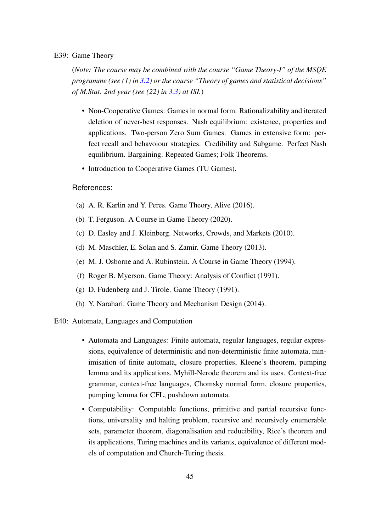#### E39: Game Theory

(*Note: The course may be combined with the course "Game Theory-I" of the MSQE programme (see (1) in [3.2\)](#page-8-0) or the course "Theory of games and statistical decisions" of M.Stat. 2nd year (see (22) in [3.3\)](#page-8-1) at ISI.*)

- Non-Cooperative Games: Games in normal form. Rationalizability and iterated deletion of never-best responses. Nash equilibrium: existence, properties and applications. Two-person Zero Sum Games. Games in extensive form: perfect recall and behavoiour strategies. Credibility and Subgame. Perfect Nash equilibrium. Bargaining. Repeated Games; Folk Theorems.
- Introduction to Cooperative Games (TU Games).

- (a) A. R. Karlin and Y. Peres. Game Theory, Alive (2016).
- (b) T. Ferguson. A Course in Game Theory (2020).
- (c) D. Easley and J. Kleinberg. Networks, Crowds, and Markets (2010).
- (d) M. Maschler, E. Solan and S. Zamir. Game Theory (2013).
- (e) M. J. Osborne and A. Rubinstein. A Course in Game Theory (1994).
- (f) Roger B. Myerson. Game Theory: Analysis of Conflict (1991).
- (g) D. Fudenberg and J. Tirole. Game Theory (1991).
- (h) Y. Narahari. Game Theory and Mechanism Design (2014).
- <span id="page-48-0"></span>E40: Automata, Languages and Computation
	- Automata and Languages: Finite automata, regular languages, regular expressions, equivalence of deterministic and non-deterministic finite automata, minimisation of finite automata, closure properties, Kleene's theorem, pumping lemma and its applications, Myhill-Nerode theorem and its uses. Context-free grammar, context-free languages, Chomsky normal form, closure properties, pumping lemma for CFL, pushdown automata.
	- Computability: Computable functions, primitive and partial recursive functions, universality and halting problem, recursive and recursively enumerable sets, parameter theorem, diagonalisation and reducibility, Rice's theorem and its applications, Turing machines and its variants, equivalence of different models of computation and Church-Turing thesis.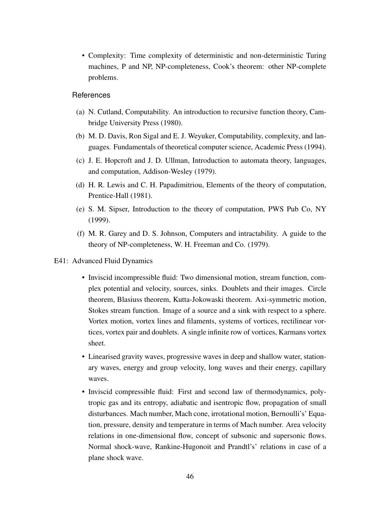• Complexity: Time complexity of deterministic and non-deterministic Turing machines, P and NP, NP-completeness, Cook's theorem: other NP-complete problems.

- (a) N. Cutland, Computability. An introduction to recursive function theory, Cambridge University Press (1980).
- (b) M. D. Davis, Ron Sigal and E. J. Weyuker, Computability, complexity, and languages. Fundamentals of theoretical computer science, Academic Press (1994).
- (c) J. E. Hopcroft and J. D. Ullman, Introduction to automata theory, languages, and computation, Addison-Wesley (1979).
- (d) H. R. Lewis and C. H. Papadimitriou, Elements of the theory of computation, Prentice-Hall (1981).
- (e) S. M. Sipser, Introduction to the theory of computation, PWS Pub Co, NY (1999).
- <span id="page-49-0"></span>(f) M. R. Garey and D. S. Johnson, Computers and intractability. A guide to the theory of NP-completeness, W. H. Freeman and Co. (1979).
- E41: Advanced Fluid Dynamics
	- Inviscid incompressible fluid: Two dimensional motion, stream function, complex potential and velocity, sources, sinks. Doublets and their images. Circle theorem, Blasiuss theorem, Kutta-Jokowaski theorem. Axi-symmetric motion, Stokes stream function. Image of a source and a sink with respect to a sphere. Vortex motion, vortex lines and filaments, systems of vortices, rectilinear vortices, vortex pair and doublets. A single infinite row of vortices, Karmans vortex sheet.
	- Linearised gravity waves, progressive waves in deep and shallow water, stationary waves, energy and group velocity, long waves and their energy, capillary waves.
	- Inviscid compressible fluid: First and second law of thermodynamics, polytropic gas and its entropy, adiabatic and isentropic flow, propagation of small disturbances. Mach number, Mach cone, irrotational motion, Bernoulli's' Equation, pressure, density and temperature in terms of Mach number. Area velocity relations in one-dimensional flow, concept of subsonic and supersonic flows. Normal shock-wave, Rankine-Hugonoit and Prandtl's' relations in case of a plane shock wave.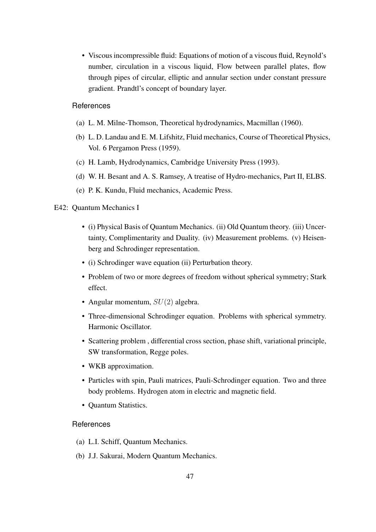• Viscous incompressible fluid: Equations of motion of a viscous fluid, Reynold's number, circulation in a viscous liquid, Flow between parallel plates, flow through pipes of circular, elliptic and annular section under constant pressure gradient. Prandtl's concept of boundary layer.

# **References**

- (a) L. M. Milne-Thomson, Theoretical hydrodynamics, Macmillan (1960).
- (b) L. D. Landau and E. M. Lifshitz, Fluid mechanics, Course of Theoretical Physics, Vol. 6 Pergamon Press (1959).
- (c) H. Lamb, Hydrodynamics, Cambridge University Press (1993).
- (d) W. H. Besant and A. S. Ramsey, A treatise of Hydro-mechanics, Part II, ELBS.
- (e) P. K. Kundu, Fluid mechanics, Academic Press.

# <span id="page-50-0"></span>E42: Quantum Mechanics I

- (i) Physical Basis of Quantum Mechanics. (ii) Old Quantum theory. (iii) Uncertainty, Complimentarity and Duality. (iv) Measurement problems. (v) Heisenberg and Schrodinger representation.
- (i) Schrodinger wave equation (ii) Perturbation theory.
- Problem of two or more degrees of freedom without spherical symmetry; Stark effect.
- Angular momentum,  $SU(2)$  algebra.
- Three-dimensional Schrodinger equation. Problems with spherical symmetry. Harmonic Oscillator.
- Scattering problem , differential cross section, phase shift, variational principle, SW transformation, Regge poles.
- WKB approximation.
- Particles with spin, Pauli matrices, Pauli-Schrodinger equation. Two and three body problems. Hydrogen atom in electric and magnetic field.
- Quantum Statistics.

- (a) L.I. Schiff, Quantum Mechanics.
- (b) J.J. Sakurai, Modern Quantum Mechanics.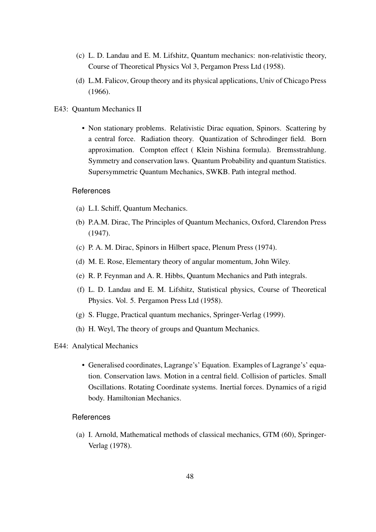- (c) L. D. Landau and E. M. Lifshitz, Quantum mechanics: non-relativistic theory, Course of Theoretical Physics Vol 3, Pergamon Press Ltd (1958).
- <span id="page-51-0"></span>(d) L.M. Falicov, Group theory and its physical applications, Univ of Chicago Press (1966).
- E43: Quantum Mechanics II
	- Non stationary problems. Relativistic Dirac equation, Spinors. Scattering by a central force. Radiation theory. Quantization of Schrodinger field. Born approximation. Compton effect ( Klein Nishina formula). Bremsstrahlung. Symmetry and conservation laws. Quantum Probability and quantum Statistics. Supersymmetric Quantum Mechanics, SWKB. Path integral method.

- (a) L.I. Schiff, Quantum Mechanics.
- (b) P.A.M. Dirac, The Principles of Quantum Mechanics, Oxford, Clarendon Press (1947).
- (c) P. A. M. Dirac, Spinors in Hilbert space, Plenum Press (1974).
- (d) M. E. Rose, Elementary theory of angular momentum, John Wiley.
- (e) R. P. Feynman and A. R. Hibbs, Quantum Mechanics and Path integrals.
- (f) L. D. Landau and E. M. Lifshitz, Statistical physics, Course of Theoretical Physics. Vol. 5. Pergamon Press Ltd (1958).
- (g) S. Flugge, Practical quantum mechanics, Springer-Verlag (1999).
- <span id="page-51-1"></span>(h) H. Weyl, The theory of groups and Quantum Mechanics.
- E44: Analytical Mechanics
	- Generalised coordinates, Lagrange's' Equation. Examples of Lagrange's' equation. Conservation laws. Motion in a central field. Collision of particles. Small Oscillations. Rotating Coordinate systems. Inertial forces. Dynamics of a rigid body. Hamiltonian Mechanics.

# References

(a) I. Arnold, Mathematical methods of classical mechanics, GTM (60), Springer-Verlag (1978).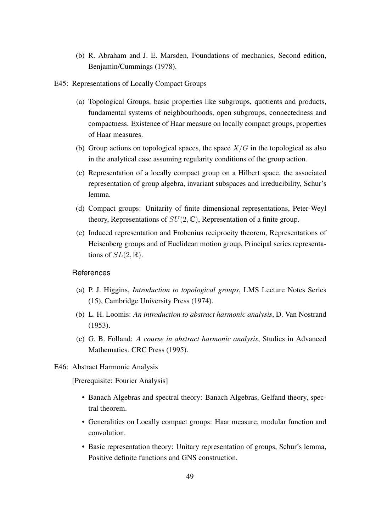- <span id="page-52-0"></span>(b) R. Abraham and J. E. Marsden, Foundations of mechanics, Second edition, Benjamin/Cummings (1978).
- E45: Representations of Locally Compact Groups
	- (a) Topological Groups, basic properties like subgroups, quotients and products, fundamental systems of neighbourhoods, open subgroups, connectedness and compactness. Existence of Haar measure on locally compact groups, properties of Haar measures.
	- (b) Group actions on topological spaces, the space  $X/G$  in the topological as also in the analytical case assuming regularity conditions of the group action.
	- (c) Representation of a locally compact group on a Hilbert space, the associated representation of group algebra, invariant subspaces and irreducibility, Schur's lemma.
	- (d) Compact groups: Unitarity of finite dimensional representations, Peter-Weyl theory, Representations of  $SU(2, \mathbb{C})$ , Representation of a finite group.
	- (e) Induced representation and Frobenius reciprocity theorem, Representations of Heisenberg groups and of Euclidean motion group, Principal series representations of  $SL(2,\mathbb{R})$ .

- (a) P. J. Higgins, *Introduction to topological groups*, LMS Lecture Notes Series (15), Cambridge University Press (1974).
- (b) L. H. Loomis: *An introduction to abstract harmonic analysis*, D. Van Nostrand (1953).
- <span id="page-52-1"></span>(c) G. B. Folland: *A course in abstract harmonic analysis*, Studies in Advanced Mathematics. CRC Press (1995).
- E46: Abstract Harmonic Analysis

[Prerequisite: Fourier Analysis]

- Banach Algebras and spectral theory: Banach Algebras, Gelfand theory, spectral theorem.
- Generalities on Locally compact groups: Haar measure, modular function and convolution.
- Basic representation theory: Unitary representation of groups, Schur's lemma, Positive definite functions and GNS construction.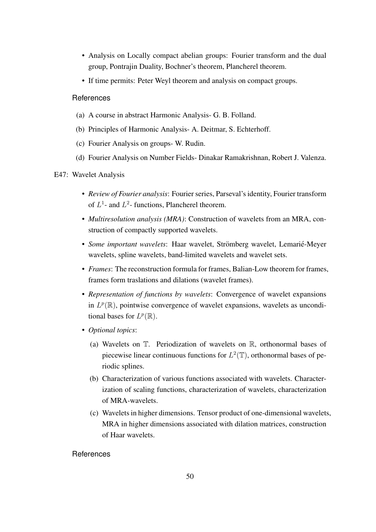- Analysis on Locally compact abelian groups: Fourier transform and the dual group, Pontrajin Duality, Bochner's theorem, Plancherel theorem.
- If time permits: Peter Weyl theorem and analysis on compact groups.

- (a) A course in abstract Harmonic Analysis- G. B. Folland.
- (b) Principles of Harmonic Analysis- A. Deitmar, S. Echterhoff.
- (c) Fourier Analysis on groups- W. Rudin.
- <span id="page-53-0"></span>(d) Fourier Analysis on Number Fields- Dinakar Ramakrishnan, Robert J. Valenza.

#### E47: Wavelet Analysis

- *Review of Fourier analysis*: Fourier series, Parseval's identity, Fourier transform of  $L^1$ - and  $L^2$ - functions, Plancherel theorem.
- *Multiresolution analysis (MRA)*: Construction of wavelets from an MRA, construction of compactly supported wavelets.
- Some important wavelets: Haar wavelet, Strömberg wavelet, Lemarié-Meyer wavelets, spline wavelets, band-limited wavelets and wavelet sets.
- *Frames*: The reconstruction formula for frames, Balian-Low theorem for frames, frames form traslations and dilations (wavelet frames).
- *Representation of functions by wavelets*: Convergence of wavelet expansions in  $L^p(\mathbb{R})$ , pointwise convergence of wavelet expansions, wavelets as unconditional bases for  $L^p(\mathbb{R})$ .
- *Optional topics*:
	- (a) Wavelets on T. Periodization of wavelets on R, orthonormal bases of piecewise linear continuous functions for  $L^2(\mathbb{T})$ , orthonormal bases of periodic splines.
	- (b) Characterization of various functions associated with wavelets. Characterization of scaling functions, characterization of wavelets, characterization of MRA-wavelets.
	- (c) Wavelets in higher dimensions. Tensor product of one-dimensional wavelets, MRA in higher dimensions associated with dilation matrices, construction of Haar wavelets.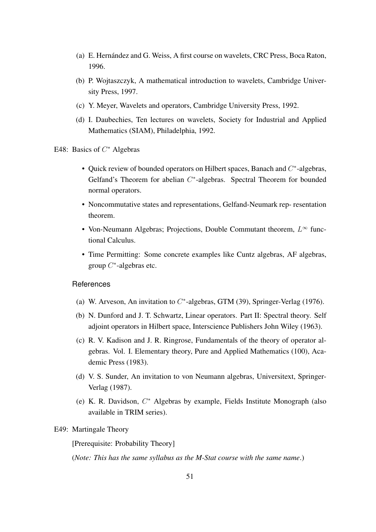- (a) E. Hernández and G. Weiss, A first course on wavelets, CRC Press, Boca Raton, 1996.
- (b) P. Wojtaszczyk, A mathematical introduction to wavelets, Cambridge University Press, 1997.
- (c) Y. Meyer, Wavelets and operators, Cambridge University Press, 1992.
- <span id="page-54-0"></span>(d) I. Daubechies, Ten lectures on wavelets, Society for Industrial and Applied Mathematics (SIAM), Philadelphia, 1992.
- E48: Basics of  $C^*$  Algebras
	- Quick review of bounded operators on Hilbert spaces, Banach and  $C^*$ -algebras, Gelfand's Theorem for abelian  $C^*$ -algebras. Spectral Theorem for bounded normal operators.
	- Noncommutative states and representations, Gelfand-Neumark rep- resentation theorem.
	- Von-Neumann Algebras; Projections, Double Commutant theorem,  $L^{\infty}$  functional Calculus.
	- Time Permitting: Some concrete examples like Cuntz algebras, AF algebras, group  $C^*$ -algebras etc.

- (a) W. Arveson, An invitation to  $C^*$ -algebras, GTM (39), Springer-Verlag (1976).
- (b) N. Dunford and J. T. Schwartz, Linear operators. Part II: Spectral theory. Self adjoint operators in Hilbert space, Interscience Publishers John Wiley (1963).
- (c) R. V. Kadison and J. R. Ringrose, Fundamentals of the theory of operator algebras. Vol. I. Elementary theory, Pure and Applied Mathematics (100), Academic Press (1983).
- (d) V. S. Sunder, An invitation to von Neumann algebras, Universitext, Springer-Verlag (1987).
- <span id="page-54-1"></span>(e) K. R. Davidson,  $C^*$  Algebras by example, Fields Institute Monograph (also available in TRIM series).

#### E49: Martingale Theory

[Prerequisite: Probability Theory]

(*Note: This has the same syllabus as the M-Stat course with the same name*.)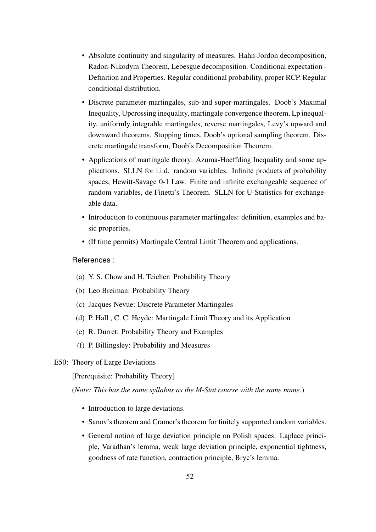- Absolute continuity and singularity of measures. Hahn-Jordon decomposition, Radon-Nikodym Theorem, Lebesgue decomposition. Conditional expectation - Definition and Properties. Regular conditional probability, proper RCP. Regular conditional distribution.
- Discrete parameter martingales, sub-and super-martingales. Doob's Maximal Inequality, Upcrossing inequality, martingale convergence theorem, Lp inequality, uniformly integrable martingales, reverse martingales, Levy's upward and downward theorems. Stopping times, Doob's optional sampling theorem. Discrete martingale transform, Doob's Decomposition Theorem.
- Applications of martingale theory: Azuma-Hoeffding Inequality and some applications. SLLN for i.i.d. random variables. Infinite products of probability spaces, Hewitt-Savage 0-1 Law. Finite and infinite exchangeable sequence of random variables, de Finetti's Theorem. SLLN for U-Statistics for exchangeable data.
- Introduction to continuous parameter martingales: definition, examples and basic properties.
- (If time permits) Martingale Central Limit Theorem and applications.

- (a) Y. S. Chow and H. Teicher: Probability Theory
- (b) Leo Breiman: Probability Theory
- (c) Jacques Nevue: Discrete Parameter Martingales
- (d) P. Hall , C. C. Heyde: Martingale Limit Theory and its Application
- (e) R. Durret: Probability Theory and Examples
- (f) P. Billingsley: Probability and Measures
- <span id="page-55-0"></span>E50: Theory of Large Deviations

[Prerequisite: Probability Theory]

(*Note: This has the same syllabus as the M-Stat course with the same name*.)

- Introduction to large deviations.
- Sanov's theorem and Cramer's theorem for finitely supported random variables.
- General notion of large deviation principle on Polish spaces: Laplace principle, Varadhan's lemma, weak large deviation principle, exponential tightness, goodness of rate function, contraction principle, Bryc's lemma.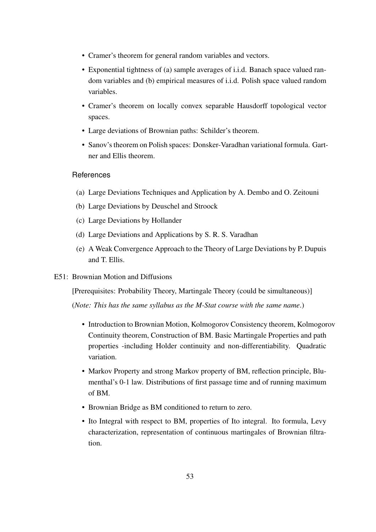- Cramer's theorem for general random variables and vectors.
- Exponential tightness of (a) sample averages of i.i.d. Banach space valued random variables and (b) empirical measures of i.i.d. Polish space valued random variables.
- Cramer's theorem on locally convex separable Hausdorff topological vector spaces.
- Large deviations of Brownian paths: Schilder's theorem.
- Sanov's theorem on Polish spaces: Donsker-Varadhan variational formula. Gartner and Ellis theorem.

- (a) Large Deviations Techniques and Application by A. Dembo and O. Zeitouni
- (b) Large Deviations by Deuschel and Stroock
- (c) Large Deviations by Hollander
- (d) Large Deviations and Applications by S. R. S. Varadhan
- <span id="page-56-0"></span>(e) A Weak Convergence Approach to the Theory of Large Deviations by P. Dupuis and T. Ellis.
- E51: Brownian Motion and Diffusions

[Prerequisites: Probability Theory, Martingale Theory (could be simultaneous)]

(*Note: This has the same syllabus as the M-Stat course with the same name*.)

- Introduction to Brownian Motion, Kolmogorov Consistency theorem, Kolmogorov Continuity theorem, Construction of BM. Basic Martingale Properties and path properties -including Holder continuity and non-differentiability. Quadratic variation.
- Markov Property and strong Markov property of BM, reflection principle, Blumenthal's 0-1 law. Distributions of first passage time and of running maximum of BM.
- Brownian Bridge as BM conditioned to return to zero.
- Ito Integral with respect to BM, properties of Ito integral. Ito formula, Levy characterization, representation of continuous martingales of Brownian filtration.